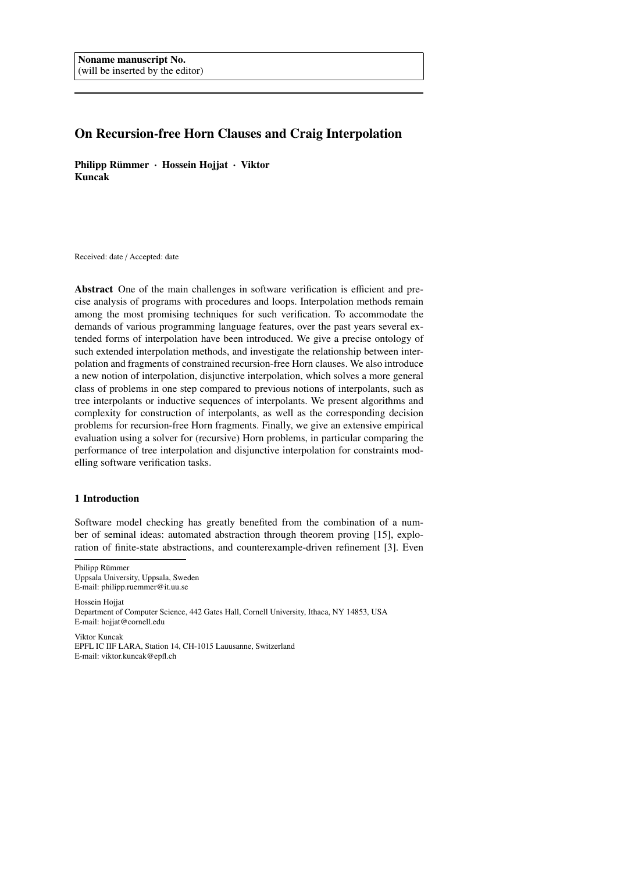# On Recursion-free Horn Clauses and Craig Interpolation

Philipp Rümmer · Hossein Hojjat · Viktor Kuncak

Received: date / Accepted: date

Abstract One of the main challenges in software verification is efficient and precise analysis of programs with procedures and loops. Interpolation methods remain among the most promising techniques for such verification. To accommodate the demands of various programming language features, over the past years several extended forms of interpolation have been introduced. We give a precise ontology of such extended interpolation methods, and investigate the relationship between interpolation and fragments of constrained recursion-free Horn clauses. We also introduce a new notion of interpolation, disjunctive interpolation, which solves a more general class of problems in one step compared to previous notions of interpolants, such as tree interpolants or inductive sequences of interpolants. We present algorithms and complexity for construction of interpolants, as well as the corresponding decision problems for recursion-free Horn fragments. Finally, we give an extensive empirical evaluation using a solver for (recursive) Horn problems, in particular comparing the performance of tree interpolation and disjunctive interpolation for constraints modelling software verification tasks.

## 1 Introduction

Software model checking has greatly benefited from the combination of a number of seminal ideas: automated abstraction through theorem proving [15], exploration of finite-state abstractions, and counterexample-driven refinement [3]. Even

Philipp Rümmer Uppsala University, Uppsala, Sweden E-mail: philipp.ruemmer@it.uu.se

Hossein Hojjat Department of Computer Science, 442 Gates Hall, Cornell University, Ithaca, NY 14853, USA E-mail: hojjat@cornell.edu

Viktor Kuncak EPFL IC IIF LARA, Station 14, CH-1015 Lauusanne, Switzerland E-mail: viktor.kuncak@epfl.ch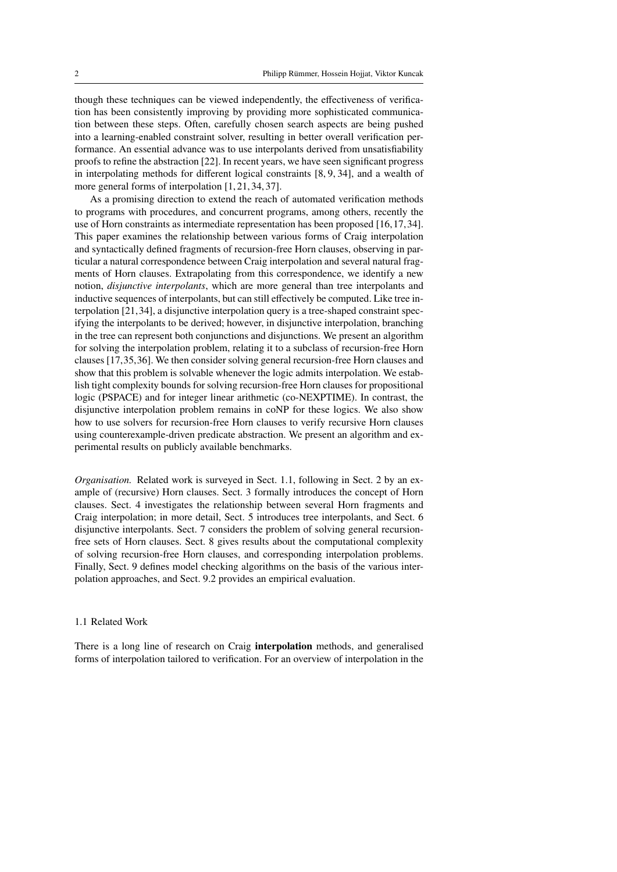though these techniques can be viewed independently, the effectiveness of verification has been consistently improving by providing more sophisticated communication between these steps. Often, carefully chosen search aspects are being pushed into a learning-enabled constraint solver, resulting in better overall verification performance. An essential advance was to use interpolants derived from unsatisfiability proofs to refine the abstraction [22]. In recent years, we have seen significant progress in interpolating methods for different logical constraints [8, 9, 34], and a wealth of more general forms of interpolation [1, 21, 34, 37].

As a promising direction to extend the reach of automated verification methods to programs with procedures, and concurrent programs, among others, recently the use of Horn constraints as intermediate representation has been proposed [16,17,34]. This paper examines the relationship between various forms of Craig interpolation and syntactically defined fragments of recursion-free Horn clauses, observing in particular a natural correspondence between Craig interpolation and several natural fragments of Horn clauses. Extrapolating from this correspondence, we identify a new notion, *disjunctive interpolants*, which are more general than tree interpolants and inductive sequences of interpolants, but can still effectively be computed. Like tree interpolation [21,34], a disjunctive interpolation query is a tree-shaped constraint specifying the interpolants to be derived; however, in disjunctive interpolation, branching in the tree can represent both conjunctions and disjunctions. We present an algorithm for solving the interpolation problem, relating it to a subclass of recursion-free Horn clauses [17,35,36]. We then consider solving general recursion-free Horn clauses and show that this problem is solvable whenever the logic admits interpolation. We establish tight complexity bounds for solving recursion-free Horn clauses for propositional logic (PSPACE) and for integer linear arithmetic (co-NEXPTIME). In contrast, the disjunctive interpolation problem remains in coNP for these logics. We also show how to use solvers for recursion-free Horn clauses to verify recursive Horn clauses using counterexample-driven predicate abstraction. We present an algorithm and experimental results on publicly available benchmarks.

*Organisation.* Related work is surveyed in Sect. 1.1, following in Sect. 2 by an example of (recursive) Horn clauses. Sect. 3 formally introduces the concept of Horn clauses. Sect. 4 investigates the relationship between several Horn fragments and Craig interpolation; in more detail, Sect. 5 introduces tree interpolants, and Sect. 6 disjunctive interpolants. Sect. 7 considers the problem of solving general recursionfree sets of Horn clauses. Sect. 8 gives results about the computational complexity of solving recursion-free Horn clauses, and corresponding interpolation problems. Finally, Sect. 9 defines model checking algorithms on the basis of the various interpolation approaches, and Sect. 9.2 provides an empirical evaluation.

#### 1.1 Related Work

There is a long line of research on Craig interpolation methods, and generalised forms of interpolation tailored to verification. For an overview of interpolation in the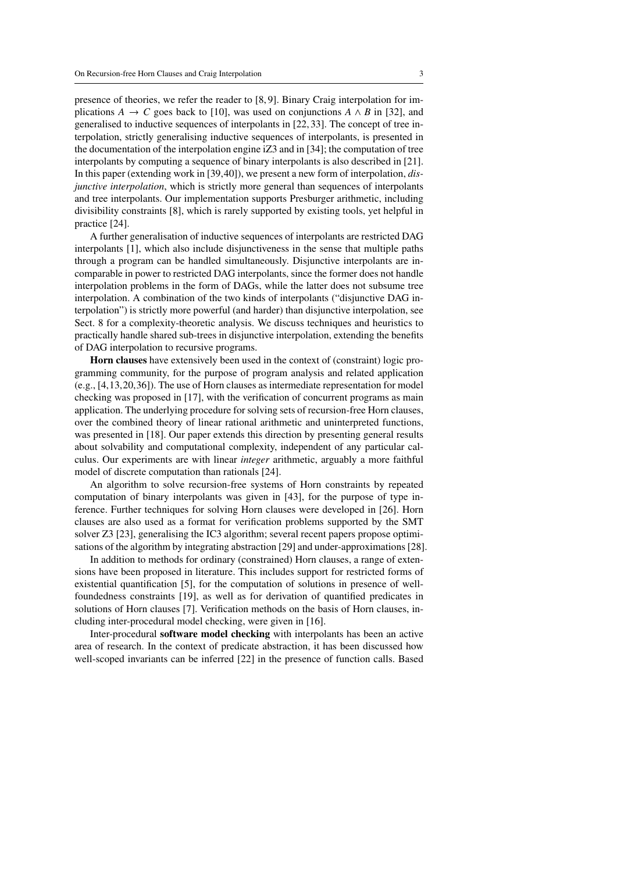presence of theories, we refer the reader to [8, 9]. Binary Craig interpolation for implications  $A \rightarrow C$  goes back to [10], was used on conjunctions  $A \wedge B$  in [32], and generalised to inductive sequences of interpolants in [22, 33]. The concept of tree interpolation, strictly generalising inductive sequences of interpolants, is presented in the documentation of the interpolation engine iZ3 and in [34]; the computation of tree interpolants by computing a sequence of binary interpolants is also described in [21]. In this paper (extending work in [39,40]), we present a new form of interpolation, *disjunctive interpolation*, which is strictly more general than sequences of interpolants and tree interpolants. Our implementation supports Presburger arithmetic, including divisibility constraints [8], which is rarely supported by existing tools, yet helpful in practice [24].

A further generalisation of inductive sequences of interpolants are restricted DAG interpolants [1], which also include disjunctiveness in the sense that multiple paths through a program can be handled simultaneously. Disjunctive interpolants are incomparable in power to restricted DAG interpolants, since the former does not handle interpolation problems in the form of DAGs, while the latter does not subsume tree interpolation. A combination of the two kinds of interpolants ("disjunctive DAG interpolation") is strictly more powerful (and harder) than disjunctive interpolation, see Sect. 8 for a complexity-theoretic analysis. We discuss techniques and heuristics to practically handle shared sub-trees in disjunctive interpolation, extending the benefits of DAG interpolation to recursive programs.

Horn clauses have extensively been used in the context of (constraint) logic programming community, for the purpose of program analysis and related application (e.g., [4,13,20,36]). The use of Horn clauses as intermediate representation for model checking was proposed in [17], with the verification of concurrent programs as main application. The underlying procedure for solving sets of recursion-free Horn clauses, over the combined theory of linear rational arithmetic and uninterpreted functions, was presented in [18]. Our paper extends this direction by presenting general results about solvability and computational complexity, independent of any particular calculus. Our experiments are with linear *integer* arithmetic, arguably a more faithful model of discrete computation than rationals [24].

An algorithm to solve recursion-free systems of Horn constraints by repeated computation of binary interpolants was given in [43], for the purpose of type inference. Further techniques for solving Horn clauses were developed in [26]. Horn clauses are also used as a format for verification problems supported by the SMT solver Z3 [23], generalising the IC3 algorithm; several recent papers propose optimisations of the algorithm by integrating abstraction [29] and under-approximations [28].

In addition to methods for ordinary (constrained) Horn clauses, a range of extensions have been proposed in literature. This includes support for restricted forms of existential quantification [5], for the computation of solutions in presence of wellfoundedness constraints [19], as well as for derivation of quantified predicates in solutions of Horn clauses [7]. Verification methods on the basis of Horn clauses, including inter-procedural model checking, were given in [16].

Inter-procedural software model checking with interpolants has been an active area of research. In the context of predicate abstraction, it has been discussed how well-scoped invariants can be inferred [22] in the presence of function calls. Based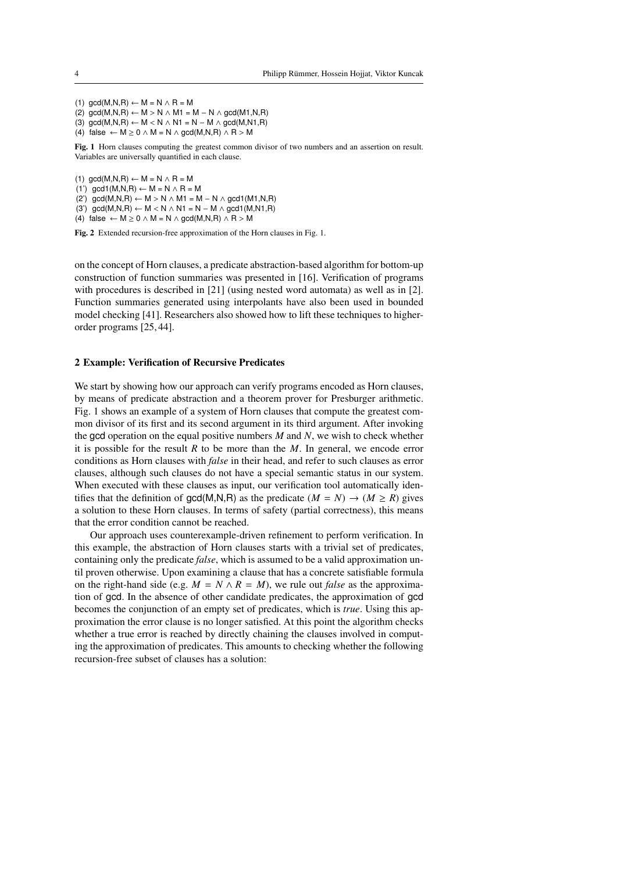(1)  $gcd(M,N,R) \leftarrow M = N \wedge R = M$ (2)  $gcd(M,N,R) \leftarrow M > N \wedge M1 = M - N \wedge gcd(M1,N,R)$ (3)  $\text{gcd}(M.N.R) \leftarrow M < N \wedge N1 = N - M \wedge \text{gcd}(M.N1.R)$ (4) false ←  $M \ge 0 \land M = N \land \text{gcd}(M, N, R) \land R > M$ 

Fig. 1 Horn clauses computing the greatest common divisor of two numbers and an assertion on result. Variables are universally quantified in each clause.

(1)  $gcd(M,N,R) \leftarrow M = N \wedge R = M$ (1') gcd1(M,N,R)  $\leftarrow$  M = N  $\land$  R = M (2') gcd(M,N,R) ← M > N  $\land$  M1 = M – N  $\land$  gcd1(M1,N,R) (3') gcd(M,N,R)  $\leftarrow$  M < N  $\land$  N1 = N  $-$  M  $\land$  gcd1(M,N1,R) (4) false  $\leftarrow M \ge 0 \land M = N \land \text{gcd}(M, N, R) \land R > M$ 

Fig. 2 Extended recursion-free approximation of the Horn clauses in Fig. 1.

on the concept of Horn clauses, a predicate abstraction-based algorithm for bottom-up construction of function summaries was presented in [16]. Verification of programs with procedures is described in [21] (using nested word automata) as well as in [2]. Function summaries generated using interpolants have also been used in bounded model checking [41]. Researchers also showed how to lift these techniques to higherorder programs [25, 44].

#### 2 Example: Verification of Recursive Predicates

We start by showing how our approach can verify programs encoded as Horn clauses, by means of predicate abstraction and a theorem prover for Presburger arithmetic. Fig. 1 shows an example of a system of Horn clauses that compute the greatest common divisor of its first and its second argument in its third argument. After invoking the gcd operation on the equal positive numbers *M* and *N*, we wish to check whether it is possible for the result *R* to be more than the *M*. In general, we encode error conditions as Horn clauses with *false* in their head, and refer to such clauses as error clauses, although such clauses do not have a special semantic status in our system. When executed with these clauses as input, our verification tool automatically identifies that the definition of  $gcd(M,N,R)$  as the predicate  $(M = N) \rightarrow (M \ge R)$  gives a solution to these Horn clauses. In terms of safety (partial correctness), this means that the error condition cannot be reached.

Our approach uses counterexample-driven refinement to perform verification. In this example, the abstraction of Horn clauses starts with a trivial set of predicates, containing only the predicate *false*, which is assumed to be a valid approximation until proven otherwise. Upon examining a clause that has a concrete satisfiable formula on the right-hand side (e.g.  $M = N \wedge R = M$ ), we rule out *false* as the approximation of gcd. In the absence of other candidate predicates, the approximation of gcd becomes the conjunction of an empty set of predicates, which is *true*. Using this approximation the error clause is no longer satisfied. At this point the algorithm checks whether a true error is reached by directly chaining the clauses involved in computing the approximation of predicates. This amounts to checking whether the following recursion-free subset of clauses has a solution: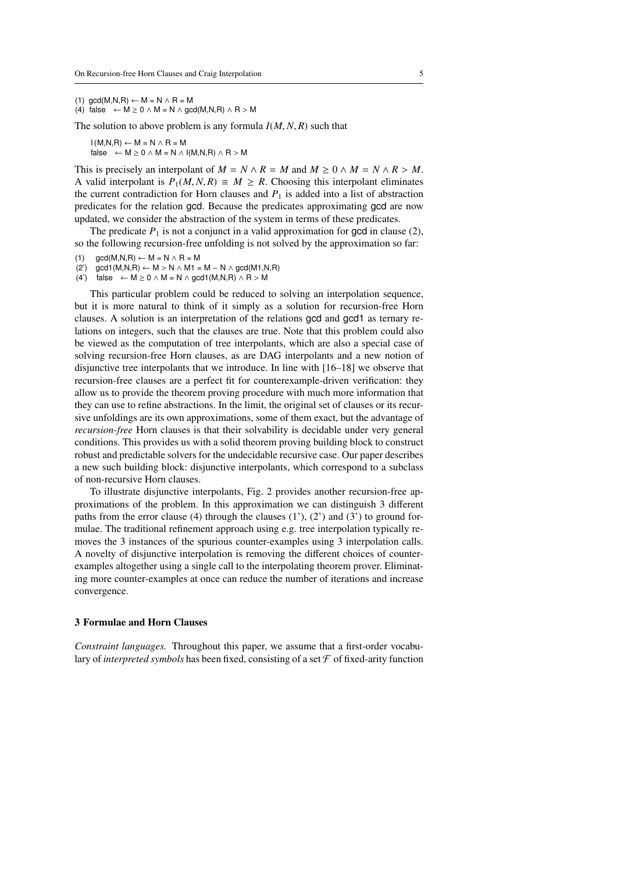```
(1) gcd(M,N,R) \leftarrow M = N \wedge R = M
```
(4) false ←  $M \ge 0 \land M = N \land \text{gcd}(M, N, R) \land R > M$ 

The solution to above problem is any formula *<sup>I</sup>*(*M*, *<sup>N</sup>*, *<sup>R</sup>*) such that

 $I(M,N,R) \leftarrow M = N \wedge R = M$ false  $\leftarrow M \geq 0 \land M = N \land I(M,N,R) \land R > M$ 

This is precisely an interpolant of  $M = N \wedge R = M$  and  $M \ge 0 \wedge M = N \wedge R > M$ . A valid interpolant is  $P_1(M, N, R) \equiv M \ge R$ . Choosing this interpolant eliminates the current contradiction for Horn clauses and  $P_1$  is added into a list of abstraction predicates for the relation gcd. Because the predicates approximating gcd are now updated, we consider the abstraction of the system in terms of these predicates.

The predicate  $P_1$  is not a conjunct in a valid approximation for gcd in clause (2), so the following recursion-free unfolding is not solved by the approximation so far:

- (1)  $gcd(M,N,R) \leftarrow M = N \wedge R = M$
- (2') gcd1(M,N,R) ← M > N ∧ M1 = M − N ∧ gcd(M1,N,R)<br>(4') false ← M > 0 ∧ M = N ∧ gcd1(M,N,R) ∧ R > M
- false  $\leftarrow M \geq 0 \land M = N \land \text{gcd1}(M,N,R) \land R > M$

This particular problem could be reduced to solving an interpolation sequence, but it is more natural to think of it simply as a solution for recursion-free Horn clauses. A solution is an interpretation of the relations gcd and gcd1 as ternary relations on integers, such that the clauses are true. Note that this problem could also be viewed as the computation of tree interpolants, which are also a special case of solving recursion-free Horn clauses, as are DAG interpolants and a new notion of disjunctive tree interpolants that we introduce. In line with [16–18] we observe that recursion-free clauses are a perfect fit for counterexample-driven verification: they allow us to provide the theorem proving procedure with much more information that they can use to refine abstractions. In the limit, the original set of clauses or its recursive unfoldings are its own approximations, some of them exact, but the advantage of *recursion-free* Horn clauses is that their solvability is decidable under very general conditions. This provides us with a solid theorem proving building block to construct robust and predictable solvers for the undecidable recursive case. Our paper describes a new such building block: disjunctive interpolants, which correspond to a subclass of non-recursive Horn clauses.

To illustrate disjunctive interpolants, Fig. 2 provides another recursion-free approximations of the problem. In this approximation we can distinguish 3 different paths from the error clause (4) through the clauses  $(1')$ ,  $(2')$  and  $(3')$  to ground formulae. The traditional refinement approach using e.g. tree interpolation typically removes the 3 instances of the spurious counter-examples using 3 interpolation calls. A novelty of disjunctive interpolation is removing the different choices of counterexamples altogether using a single call to the interpolating theorem prover. Eliminating more counter-examples at once can reduce the number of iterations and increase convergence.

#### 3 Formulae and Horn Clauses

*Constraint languages.* Throughout this paper, we assume that a first-order vocabulary of *interpreted symbols* has been fixed, consisting of a set  $\mathcal F$  of fixed-arity function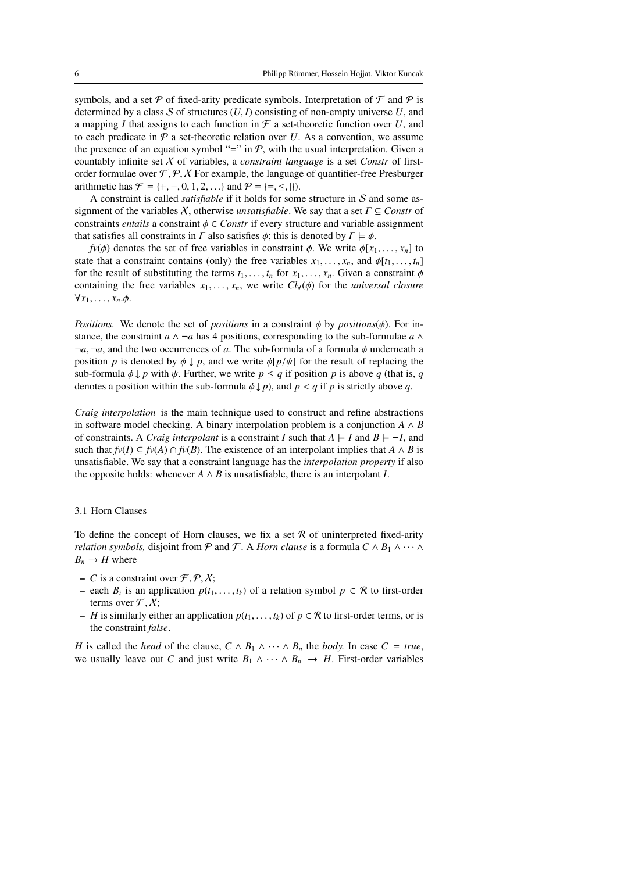symbols, and a set  $P$  of fixed-arity predicate symbols. Interpretation of  $\mathcal F$  and  $P$  is determined by a class  $S$  of structures  $(U, I)$  consisting of non-empty universe  $U$ , and a mapping *I* that assigns to each function in  $\mathcal F$  a set-theoretic function over *U*, and to each predicate in  $P$  a set-theoretic relation over  $U$ . As a convention, we assume the presence of an equation symbol "=" in  $P$ , with the usual interpretation. Given a countably infinite set X of variables, a *constraint language* is a set *Constr* of firstorder formulae over  $\mathcal{F}, \mathcal{P}, \mathcal{X}$  For example, the language of quantifier-free Presburger arithmetic has  $\mathcal{F} = \{+, -, 0, 1, 2, ...\}$  and  $\mathcal{P} = \{=, \le, \}$ .

A constraint is called *satisfiable* if it holds for some structure in S and some assignment of the variables <sup>X</sup>, otherwise *unsatisfiable*. We say that a set Γ <sup>⊆</sup> *Constr* of constraints *entails* a constraint  $\phi \in$  *Constr* if every structure and variable assignment that satisfies all constraints in  $\Gamma$  also satisfies  $\phi$ ; this is denoted by  $\Gamma \models \phi$ .

 $f\nu(\phi)$  denotes the set of free variables in constraint  $\phi$ . We write  $\phi[x_1, \ldots, x_n]$  to state that a constraint contains (only) the free variables  $x_1, \ldots, x_n$ , and  $\phi[t_1, \ldots, t_n]$ for the result of substituting the terms  $t_1, \ldots, t_n$  for  $x_1, \ldots, x_n$ . Given a constraint  $\phi$ containing the free variables  $x_1, \ldots, x_n$ , we write  $Cl_V(\phi)$  for the *universal closure*  $\forall x_1, \ldots, x_n. \phi.$ 

*Positions.* We denote the set of *positions* in a constraint  $\phi$  by *positions*( $\phi$ ). For instance, the constraint  $a \wedge \neg a$  has 4 positions, corresponding to the sub-formulae  $a \wedge \neg a$  $\neg a, \neg a$ , and the two occurrences of *a*. The sub-formula of a formula  $\phi$  underneath a position *p* is denoted by  $\phi \downarrow p$ , and we write  $\phi[p/\psi]$  for the result of replacing the sub-formula  $\phi \downarrow p$  with  $\psi$ . Further, we write  $p \leq q$  if position p is above q (that is, q denotes a position within the sub-formula  $\phi \downarrow p$ , and  $p < q$  if p is strictly above q.

*Craig interpolation* is the main technique used to construct and refine abstractions in software model checking. A binary interpolation problem is a conjunction  $A \wedge B$ of constraints. A *Craig interpolant* is a constraint *I* such that  $A \models I$  and  $B \models \neg I$ , and such that  $f\nu(I) \subseteq f\nu(A) \cap f\nu(B)$ . The existence of an interpolant implies that *A* ∧ *B* is unsatisfiable. We say that a constraint language has the *interpolation property* if also the opposite holds: whenever  $A \wedge B$  is unsatisfiable, there is an interpolant *I*.

#### 3.1 Horn Clauses

To define the concept of Horn clauses, we fix a set  $R$  of uninterpreted fixed-arity *relation symbols,* disjoint from  $P$  and  $F$ . A *Horn clause* is a formula  $C \wedge B_1 \wedge \cdots \wedge B_n$  $B_n \to H$  where

- *C* is a constraint over  $\mathcal{F}, \mathcal{P}, \mathcal{X}$ ;
- − each *B<sub>i</sub>* is an application  $p(t_1, ..., t_k)$  of a relation symbol  $p \in \mathcal{R}$  to first-order terms over  $\mathcal{F} \times Y$ . terms over  $\mathcal{F}, \mathcal{X}$ ;
- *H* is similarly either an application  $p(t_1, \ldots, t_k)$  of  $p \in \mathcal{R}$  to first-order terms, or is the constraint *false*.

*H* is called the *head* of the clause,  $C \wedge B_1 \wedge \cdots \wedge B_n$  the *body*. In case  $C = true$ , we usually leave out *C* and just write  $B_1 \wedge \cdots \wedge B_n \rightarrow H$ . First-order variables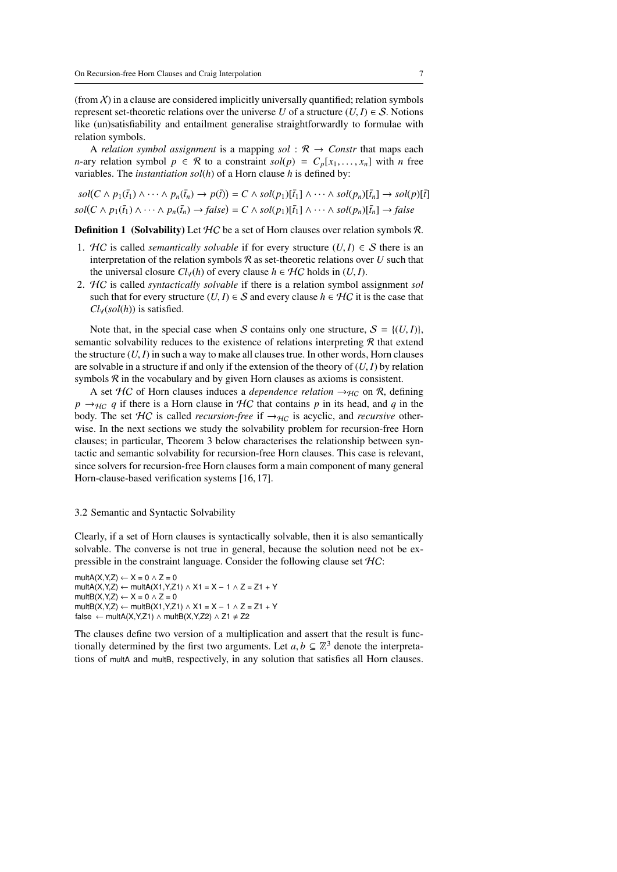(from  $X$ ) in a clause are considered implicitly universally quantified; relation symbols represent set-theoretic relations over the universe *U* of a structure  $(U, I) \in S$ . Notions like (un)satisfiability and entailment generalise straightforwardly to formulae with relation symbols.

A *relation symbol assignment* is a mapping *sol* :  $\mathcal{R} \rightarrow$  *Constr* that maps each *n*-ary relation symbol  $p \in \mathcal{R}$  to a constraint  $sol(p) = C_p[x_1, \ldots, x_n]$  with *n* free variables. The *instantiation sol*(*h*) of a Horn clause *h* is defined by:

$$
sol(C \wedge p_1(\bar{t}_1) \wedge \cdots \wedge p_n(\bar{t}_n) \rightarrow p(\bar{t})) = C \wedge sol(p_1)[\bar{t}_1] \wedge \cdots \wedge sol(p_n)[\bar{t}_n] \rightarrow sol(p)[\bar{t}]
$$
  

$$
sol(C \wedge p_1(\bar{t}_1) \wedge \cdots \wedge p_n(\bar{t}_n) \rightarrow false) = C \wedge sol(p_1)[\bar{t}_1] \wedge \cdots \wedge sol(p_n)[\bar{t}_n] \rightarrow false
$$

**Definition 1** (Solvability) Let  $HC$  be a set of Horn clauses over relation symbols R.

- 1. HC is called *semantically solvable* if for every structure  $(U, I) \in S$  there is an interpretation of the relation symbols  $R$  as set-theoretic relations over  $U$  such that the universal closure  $Cl_V(h)$  of every clause  $h \in H_C$  holds in  $(U, I)$ .
- 2. HC is called *syntactically solvable* if there is a relation symbol assignment *sol* such that for every structure  $(U, I) \in S$  and every clause  $h \in H\mathcal{C}$  it is the case that *Cl*∀(*sol*(*h*)) is satisfied.

Note that, in the special case when S contains only one structure,  $S = \{(U, I)\}\$ , semantic solvability reduces to the existence of relations interpreting  $R$  that extend the structure  $(U, I)$  in such a way to make all clauses true. In other words, Horn clauses are solvable in a structure if and only if the extension of the theory of  $(U, I)$  by relation symbols  $R$  in the vocabulary and by given Horn clauses as axioms is consistent.

A set  $HC$  of Horn clauses induces a *dependence relation*  $\rightarrow_{HC}$  on R, defining  $p \rightarrow_{HC} q$  if there is a Horn clause in HC that contains p in its head, and q in the body. The set  $HC$  is called *recursion-free* if  $\rightarrow$ <sub>HC</sub> is acyclic, and *recursive* otherwise. In the next sections we study the solvability problem for recursion-free Horn clauses; in particular, Theorem 3 below characterises the relationship between syntactic and semantic solvability for recursion-free Horn clauses. This case is relevant, since solvers for recursion-free Horn clauses form a main component of many general Horn-clause-based verification systems [16, 17].

#### 3.2 Semantic and Syntactic Solvability

Clearly, if a set of Horn clauses is syntactically solvable, then it is also semantically solvable. The converse is not true in general, because the solution need not be expressible in the constraint language. Consider the following clause set HC:

```
multA(X,Y,Z) \leftarrow X = 0 \land Z = 0
multA(X,Y,Z) ← multA(X1,Y,Z1) \land X1 = X – 1 \land Z = Z1 + Y
multB(X,Y,Z) \leftarrow X = 0 \wedge Z = 0
multB(X,Y,Z) ← multB(X1,Y,Z1) ∧ X1 = X – 1 ∧ Z = Z1 + Y
false ← multA(X,Y,Z1) \land multB(X,Y,Z2) \land Z1 \neq Z2
```
The clauses define two version of a multiplication and assert that the result is functionally determined by the first two arguments. Let  $a, b \subseteq \mathbb{Z}^3$  denote the interpreta-<br>tions of multa and multa respectively in any solution that satisfies all Horn clauses tions of multA and multB, respectively, in any solution that satisfies all Horn clauses.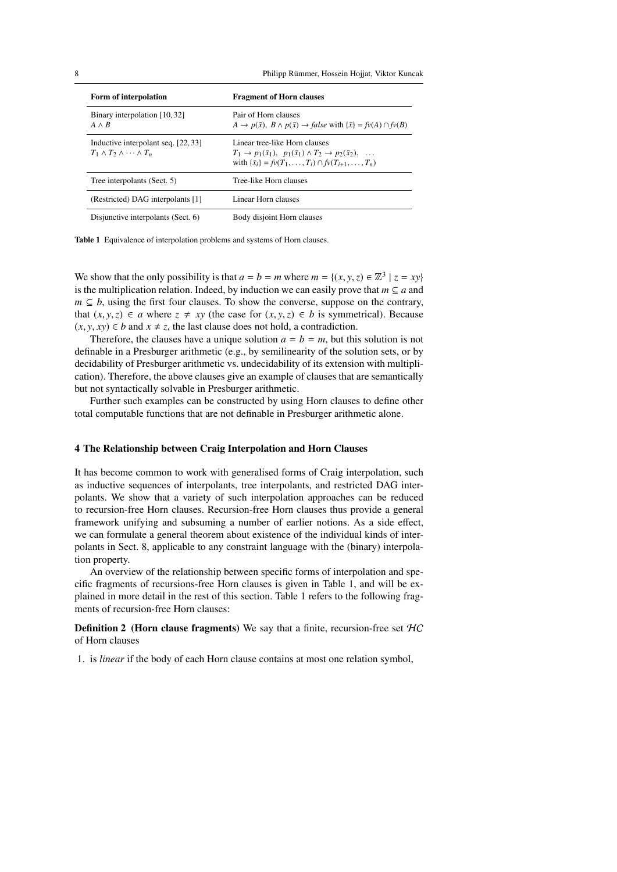8 Philipp Rümmer, Hossein Hojjat, Viktor Kuncak

| Form of interpolation                                                            | <b>Fragment of Horn clauses</b>                                                                                                                                                               |
|----------------------------------------------------------------------------------|-----------------------------------------------------------------------------------------------------------------------------------------------------------------------------------------------|
| Binary interpolation [10,32]<br>$A \wedge B$                                     | Pair of Horn clauses<br>$A \to p(\bar{x}), B \wedge p(\bar{x}) \to false$ with $\{\bar{x}\} = f\nu(A) \cap f\nu(B)$                                                                           |
| Inductive interpolant seq. [22, 33]<br>$T_1 \wedge T_2 \wedge \cdots \wedge T_n$ | Linear tree-like Horn clauses<br>$T_1 \to p_1(\bar{x}_1), p_1(\bar{x}_1) \land T_2 \to p_2(\bar{x}_2), \ldots$<br>with $\{\bar{x}_i\} = f v(T_1, \ldots, T_i) \cap f v(T_{i+1}, \ldots, T_n)$ |
| Tree interpolants (Sect. 5)                                                      | Tree-like Horn clauses                                                                                                                                                                        |
| (Restricted) DAG interpolants [1]                                                | Linear Horn clauses                                                                                                                                                                           |
| Disjunctive interpolants (Sect. 6)                                               | Body disjoint Horn clauses                                                                                                                                                                    |

Table 1 Equivalence of interpolation problems and systems of Horn clauses.

We show that the only possibility is that  $a = b = m$  where  $m = \{(x, y, z) \in \mathbb{Z}^3 \mid z = xy\}$  is the multiplication relation. Indeed, by induction we can easily prove that  $m \subseteq a$  and is the multiplication relation. Indeed, by induction we can easily prove that  $m \subseteq a$  and  $m \subseteq b$ , using the first four clauses. To show the converse, suppose on the contrary, that  $(x, y, z) \in a$  where  $z \neq xy$  (the case for  $(x, y, z) \in b$  is symmetrical). Because  $(x, y, xy) \in b$  and  $x \neq z$ , the last clause does not hold, a contradiction.

Therefore, the clauses have a unique solution  $a = b = m$ , but this solution is not definable in a Presburger arithmetic (e.g., by semilinearity of the solution sets, or by decidability of Presburger arithmetic vs. undecidability of its extension with multiplication). Therefore, the above clauses give an example of clauses that are semantically but not syntactically solvable in Presburger arithmetic.

Further such examples can be constructed by using Horn clauses to define other total computable functions that are not definable in Presburger arithmetic alone.

#### 4 The Relationship between Craig Interpolation and Horn Clauses

It has become common to work with generalised forms of Craig interpolation, such as inductive sequences of interpolants, tree interpolants, and restricted DAG interpolants. We show that a variety of such interpolation approaches can be reduced to recursion-free Horn clauses. Recursion-free Horn clauses thus provide a general framework unifying and subsuming a number of earlier notions. As a side effect, we can formulate a general theorem about existence of the individual kinds of interpolants in Sect. 8, applicable to any constraint language with the (binary) interpolation property.

An overview of the relationship between specific forms of interpolation and specific fragments of recursions-free Horn clauses is given in Table 1, and will be explained in more detail in the rest of this section. Table 1 refers to the following fragments of recursion-free Horn clauses:

**Definition 2** (Horn clause fragments) We say that a finite, recursion-free set  $HC$ of Horn clauses

1. is *linear* if the body of each Horn clause contains at most one relation symbol,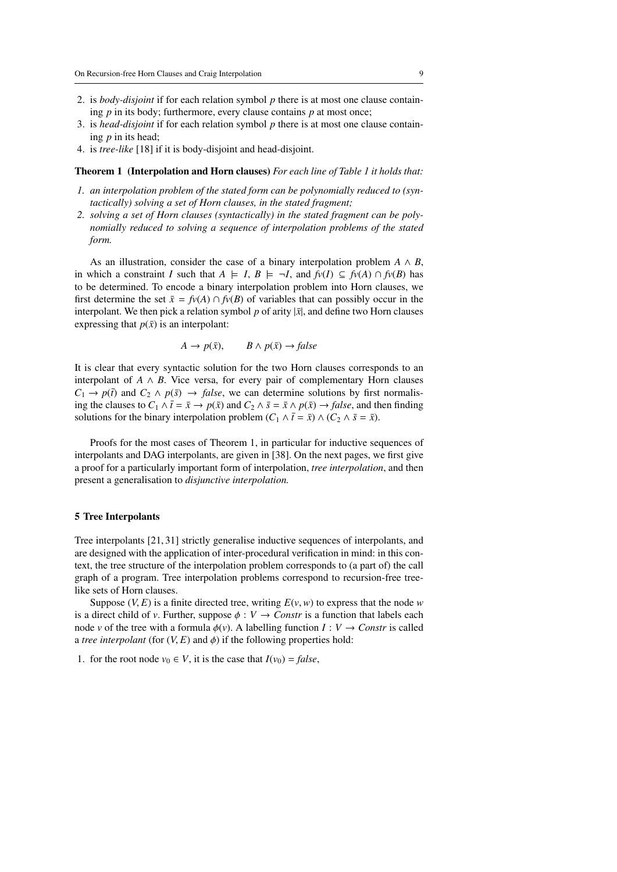- 2. is *body-disjoint* if for each relation symbol *p* there is at most one clause containing *p* in its body; furthermore, every clause contains *p* at most once;
- 3. is *head-disjoint* if for each relation symbol *p* there is at most one clause containing *p* in its head;
- 4. is *tree-like* [18] if it is body-disjoint and head-disjoint.

#### Theorem 1 (Interpolation and Horn clauses) *For each line of Table 1 it holds that:*

- *1. an interpolation problem of the stated form can be polynomially reduced to (syntactically) solving a set of Horn clauses, in the stated fragment;*
- *2. solving a set of Horn clauses (syntactically) in the stated fragment can be polynomially reduced to solving a sequence of interpolation problems of the stated form.*

As an illustration, consider the case of a binary interpolation problem  $A \wedge B$ , in which a constraint *I* such that  $A \models I, B \models \neg I$ , and  $f\nu(I) \subseteq f\nu(A) \cap f\nu(B)$  has to be determined. To encode a binary interpolation problem into Horn clauses, we first determine the set  $\bar{x} = f\nu(A) \cap f\nu(B)$  of variables that can possibly occur in the interpolant. We then pick a relation symbol  $p$  of arity  $|\bar{x}|$ , and define two Horn clauses expressing that  $p(\bar{x})$  is an interpolant:

$$
A \to p(\bar{x}), \qquad B \wedge p(\bar{x}) \to false
$$

It is clear that every syntactic solution for the two Horn clauses corresponds to an interpolant of  $A \wedge B$ . Vice versa, for every pair of complementary Horn clauses  $C_1 \rightarrow p(\bar{t})$  and  $C_2 \land p(\bar{s}) \rightarrow false$ , we can determine solutions by first normalising the clauses to  $C_1 \wedge \overline{t} = \overline{x} \rightarrow p(\overline{x})$  and  $C_2 \wedge \overline{s} = \overline{x} \wedge p(\overline{x}) \rightarrow false$ , and then finding solutions for the binary interpolation problem  $(C_1 \wedge \overline{t} = \overline{x}) \wedge (C_2 \wedge \overline{s} = \overline{x})$ .

Proofs for the most cases of Theorem 1, in particular for inductive sequences of interpolants and DAG interpolants, are given in [38]. On the next pages, we first give a proof for a particularly important form of interpolation, *tree interpolation*, and then present a generalisation to *disjunctive interpolation.*

#### 5 Tree Interpolants

Tree interpolants [21, 31] strictly generalise inductive sequences of interpolants, and are designed with the application of inter-procedural verification in mind: in this context, the tree structure of the interpolation problem corresponds to (a part of) the call graph of a program. Tree interpolation problems correspond to recursion-free treelike sets of Horn clauses.

Suppose  $(V, E)$  is a finite directed tree, writing  $E(v, w)$  to express that the node *w* is a direct child of *v*. Further, suppose  $\phi : V \to$  *Constr* is a function that labels each node *v* of the tree with a formula  $\phi(v)$ . A labelling function *I* : *V*  $\rightarrow$  *Constr* is called a *tree interpolant* (for  $(V, E)$  and  $\phi$ ) if the following properties hold:

1. for the root node  $v_0 \in V$ , it is the case that  $I(v_0) = false$ ,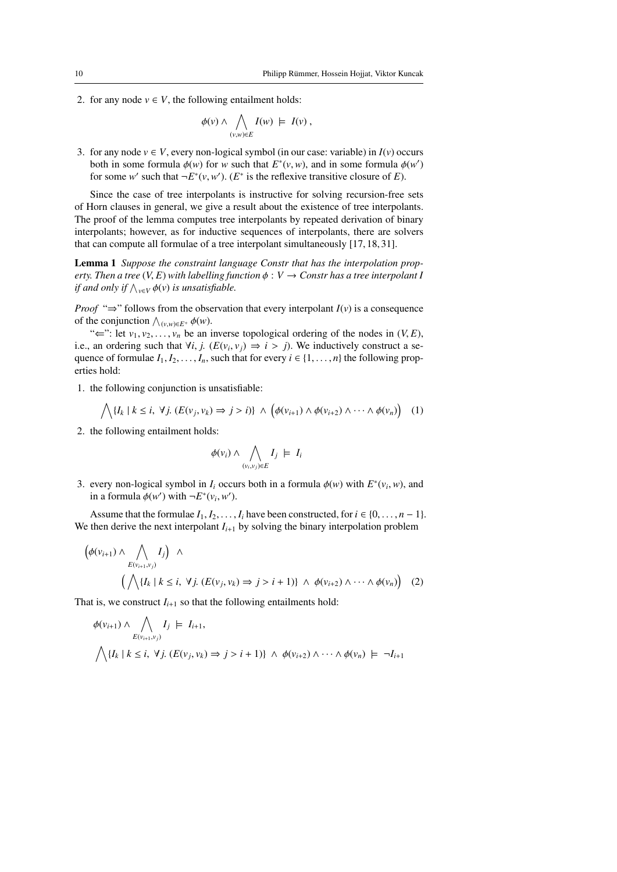2. for any node  $v \in V$ , the following entailment holds:

$$
\phi(v) \wedge \bigwedge_{(v,w)\in E} I(w) \models I(v) ,
$$

3. for any node  $v \in V$ , every non-logical symbol (in our case: variable) in  $I(v)$  occurs both in some formula  $\phi(w)$  for *w* such that  $E^*(v, w)$ , and in some formula  $\phi(w')$  for some  $w'$  such that  $-F^*(v, w')$  ( $F^*$  is the reflexive transitive closure of  $F$ ) for some *w*' such that  $\neg E^*(v, w')$ . (*E*<sup>\*</sup> is the reflexive transitive closure of *E*).

Since the case of tree interpolants is instructive for solving recursion-free sets of Horn clauses in general, we give a result about the existence of tree interpolants. The proof of the lemma computes tree interpolants by repeated derivation of binary interpolants; however, as for inductive sequences of interpolants, there are solvers that can compute all formulae of a tree interpolant simultaneously [17, 18, 31].

Lemma 1 *Suppose the constraint language Constr that has the interpolation property. Then a tree*  $(V, E)$  *with labelling function*  $\phi : V \to$  *Constr has a tree interpolant I if and only if*  $\bigwedge_{v \in V} \phi(v)$  *is unsatisfiable.* 

*Proof* " $\Rightarrow$ " follows from the observation that every interpolant *I*(*v*) is a consequence of the conjunction  $\bigwedge_{(v,w)\in E^+} \phi(w)$ .<br>"  $\leftarrow$ " let  $v_1, v_2, \dots, v_n$  be an i

" $\Leftarrow$ ": let  $v_1, v_2, \ldots, v_n$  be an inverse topological ordering of the nodes in  $(V, E)$ , i.e., an ordering such that  $\forall i, j$ . ( $E(v_i, v_j) \Rightarrow i > j$ ). We inductively construct a se-<br>quence of formulae *l*, *l*, *l*, *l*, such that for every  $i \in \{1, n\}$  the following propquence of formulae  $I_1, I_2, \ldots, I_n$ , such that for every  $i \in \{1, \ldots, n\}$  the following properties hold:

1. the following conjunction is unsatisfiable:

$$
\bigwedge \{I_k \mid k \leq i, \ \forall j. \ (E(v_j, v_k) \Rightarrow j > i) \} \ \wedge \ \left(\phi(v_{i+1}) \wedge \phi(v_{i+2}) \wedge \cdots \wedge \phi(v_n)\right) \tag{1}
$$

2. the following entailment holds:

 $\mathbf{r}$ 

$$
\phi(v_i) \land \bigwedge_{(v_i, v_j) \in E} I_j \models I_i
$$

3. every non-logical symbol in *I<sub>i</sub>* occurs both in a formula  $\phi(w)$  with  $E^*(v_i, w)$ , and in a formula  $\phi(w')$  with  $-F^*(v \cdot w')$ in a formula  $\phi(w')$  with  $\neg E^*(v_i, w')$ .

Assume that the formulae  $I_1, I_2, \ldots, I_i$  have been constructed, for  $i \in \{0, \ldots, n-1\}$ . We then derive the next interpolant  $I_{i+1}$  by solving the binary interpolation problem

$$
\left(\phi(v_{i+1}) \wedge \bigwedge_{E(v_{i+1},v_j)} I_j\right) \wedge \left(\bigwedge \{I_k \mid k \leq i, \forall j. \ (E(v_j,v_k) \Rightarrow j > i+1)\} \wedge \phi(v_{i+2}) \wedge \dots \wedge \phi(v_n)\right) \tag{2}
$$

That is, we construct  $I_{i+1}$  so that the following entailments hold:

$$
\phi(v_{i+1}) \wedge \bigwedge_{E(v_{i+1},v_j)} I_j \models I_{i+1},
$$
  

$$
\bigwedge \{I_k \mid k \le i, \forall j. (E(v_j, v_k) \Rightarrow j > i+1)\} \wedge \phi(v_{i+2}) \wedge \dots \wedge \phi(v_n) \models \neg I_{i+1}
$$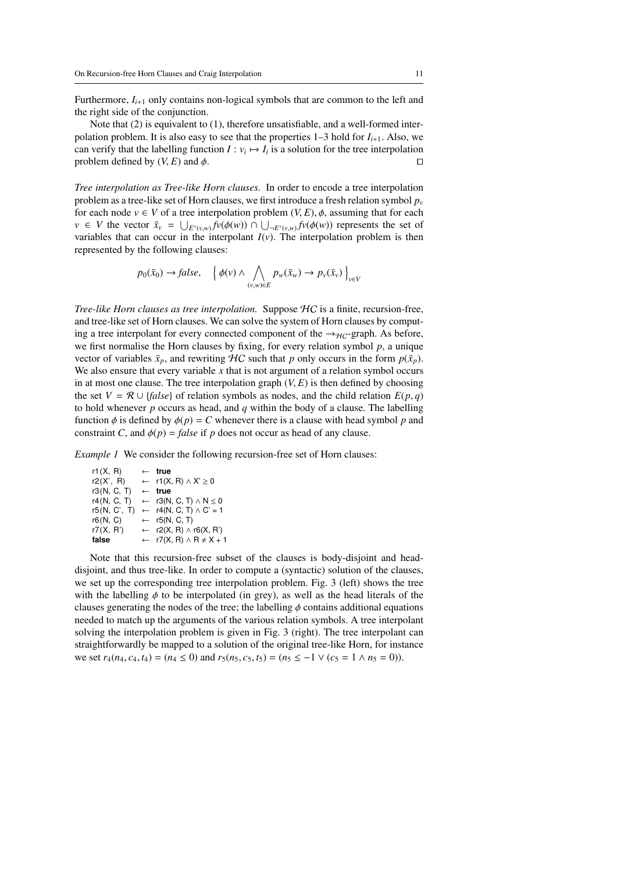Furthermore,  $I_{i+1}$  only contains non-logical symbols that are common to the left and the right side of the conjunction.

Note that (2) is equivalent to (1), therefore unsatisfiable, and a well-formed interpolation problem. It is also easy to see that the properties  $1-3$  hold for  $I_{i+1}$ . Also, we can verify that the labelling function  $I: v_i \mapsto I_i$  is a solution for the tree interpolation problem defined by  $(V, E)$  and  $\phi$ .

*Tree interpolation as Tree-like Horn clauses.* In order to encode a tree interpolation problem as a tree-like set of Horn clauses, we first introduce a fresh relation symbol  $p<sub>v</sub>$ for each node  $v \in V$  of a tree interpolation problem  $(V, E)$ ,  $\phi$ , assuming that for each *v* ∈ *V* the vector  $\bar{x}_v = \bigcup_{E^*(v,w)} f(v(\phi(w)) \cap \bigcup_{E^*(v,w)} f(v(\phi(w))$  represents the set of variables that can occur in the interpolant  $J(v)$ . The interpolation problem is then variables that can occur in the interpolant  $I(v)$ . The interpolation problem is then represented by the following clauses:

$$
p_0(\bar{x}_0) \to false, \quad \left\{ \phi(v) \land \bigwedge_{(v,w)\in E} p_w(\bar{x}_w) \to p_v(\bar{x}_v) \right\}_{v\in V}
$$

*Tree-like Horn clauses as tree interpolation.* Suppose HC is a finite, recursion-free, and tree-like set of Horn clauses. We can solve the system of Horn clauses by computing a tree interpolant for every connected component of the  $\rightarrow_{HC}$ -graph. As before, we first normalise the Horn clauses by fixing, for every relation symbol *p*, a unique vector of variables  $\bar{x}_p$ , and rewriting HC such that *p* only occurs in the form  $p(\bar{x}_p)$ . We also ensure that every variable x that is not argument of a relation symbol occurs in at most one clause. The tree interpolation graph  $(V, E)$  is then defined by choosing the set  $V = \mathcal{R} \cup \{false\}$  of relation symbols as nodes, and the child relation  $E(p, q)$ to hold whenever *p* occurs as head, and *q* within the body of a clause. The labelling function  $\phi$  is defined by  $\phi(p) = C$  whenever there is a clause with head symbol p and constraint *C*, and  $\phi(p) = false$  if *p* does not occur as head of any clause.

*Example 1* We consider the following recursion-free set of Horn clauses:

| r1(X, R)     | $\leftarrow$ true                            |
|--------------|----------------------------------------------|
| r2(X', R)    | $\leftarrow$ r1(X, R) $\land$ X' $\geq$ 0    |
| r3(N, C, T)  | $\leftarrow$ true                            |
| r4(N, C, T)  | $\leftarrow r3(N, C, T) \wedge N \leq 0$     |
| r5(N, C', T) | $\leftarrow$ r4(N, C, T) $\land$ C' = 1      |
| r6(N, C)     | $\leftarrow$ r5(N, C, T)                     |
| r7(X, R')    | $\leftarrow$ r2(X, R) $\land$ r6(X, R')      |
| false        | $\leftarrow$ r7(X, R) $\land$ R $\neq$ X + 1 |

Note that this recursion-free subset of the clauses is body-disjoint and headdisjoint, and thus tree-like. In order to compute a (syntactic) solution of the clauses, we set up the corresponding tree interpolation problem. Fig. 3 (left) shows the tree with the labelling  $\phi$  to be interpolated (in grey), as well as the head literals of the clauses generating the nodes of the tree; the labelling  $\phi$  contains additional equations needed to match up the arguments of the various relation symbols. A tree interpolant solving the interpolation problem is given in Fig. 3 (right). The tree interpolant can straightforwardly be mapped to a solution of the original tree-like Horn, for instance we set  $r_4(n_4, c_4, t_4) = (n_4 \le 0)$  and  $r_5(n_5, c_5, t_5) = (n_5 \le -1 \vee (c_5 = 1 \wedge n_5 = 0)).$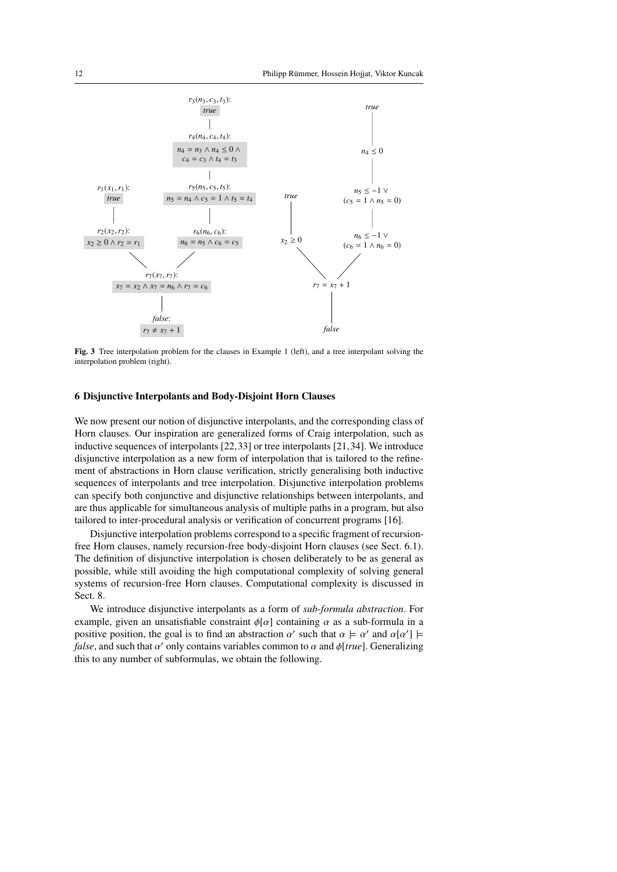

Fig. 3 Tree interpolation problem for the clauses in Example 1 (left), and a tree interpolant solving the interpolation problem (right).

#### 6 Disjunctive Interpolants and Body-Disjoint Horn Clauses

We now present our notion of disjunctive interpolants, and the corresponding class of Horn clauses. Our inspiration are generalized forms of Craig interpolation, such as inductive sequences of interpolants [22,33] or tree interpolants [21,34]. We introduce disjunctive interpolation as a new form of interpolation that is tailored to the refinement of abstractions in Horn clause verification, strictly generalising both inductive sequences of interpolants and tree interpolation. Disjunctive interpolation problems can specify both conjunctive and disjunctive relationships between interpolants, and are thus applicable for simultaneous analysis of multiple paths in a program, but also tailored to inter-procedural analysis or verification of concurrent programs [16].

Disjunctive interpolation problems correspond to a specific fragment of recursionfree Horn clauses, namely recursion-free body-disjoint Horn clauses (see Sect. 6.1). The definition of disjunctive interpolation is chosen deliberately to be as general as possible, while still avoiding the high computational complexity of solving general systems of recursion-free Horn clauses. Computational complexity is discussed in Sect. 8.

We introduce disjunctive interpolants as a form of *sub-formula abstraction*. For example, given an unsatisfiable constraint  $\phi[\alpha]$  containing  $\alpha$  as a sub-formula in a positive position, the goal is to find an abstraction  $\alpha'$  such that  $\alpha \models \alpha'$  and  $\alpha[\alpha'] \models$ <br>false, and such that  $\alpha'$  only contains variables common to  $\alpha$  and altruel. Generalizing *false*, and such that  $\alpha'$  only contains variables common to  $\alpha$  and  $\phi[true]$ . Generalizing this to any number of subformulas, we obtain the following this to any number of subformulas, we obtain the following.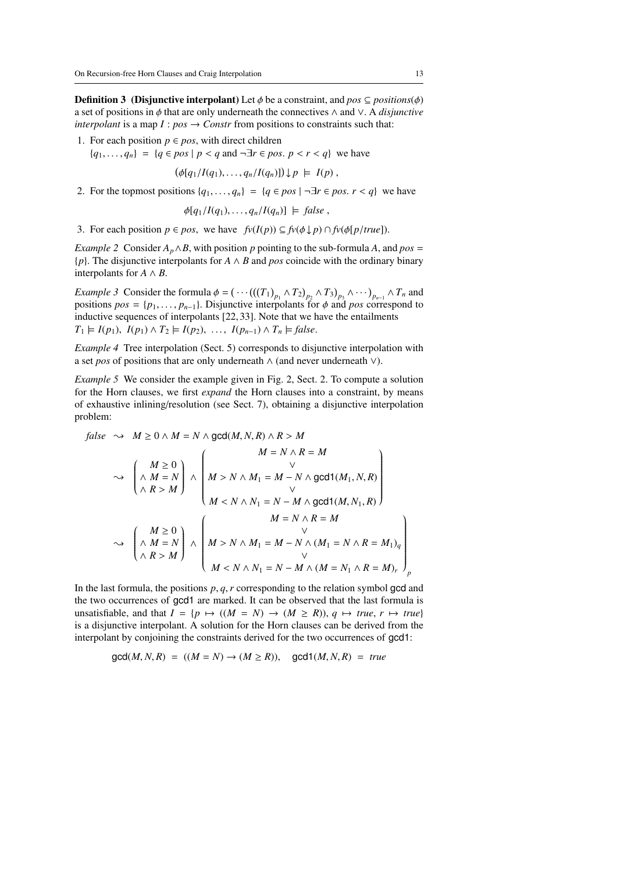**Definition 3** (Disjunctive interpolant) Let  $\phi$  be a constraint, and  $pos \subseteq positions(\phi)$ a set of positions in φ that are only underneath the connectives <sup>∧</sup> and <sup>∨</sup>. A *disjunctive interpolant* is a map  $I: pos \to Constr$  from positions to constraints such that:

- 1. For each position  $p \in pos$ , with direct children
	- ${q_1, \ldots, q_n} = {q \in pos \mid p < q \text{ and } \neg \exists r \in pos. p < r < q}$  we have

$$
(\phi[q_1/I(q_1),\ldots,q_n/I(q_n)]) \downarrow p \models I(p),
$$

2. For the topmost positions  $\{q_1, \ldots, q_n\} = \{q \in pos \mid \neg \exists r \in pos. r < q\}$  we have

$$
\phi[q_1/I(q_1),\ldots,q_n/I(q_n)] \models false,
$$

3. For each position  $p \in pos$ , we have  $f\nu(I(p)) \subseteq f\nu(\phi \downarrow p) \cap f\nu(\phi[p/true])$ .

*Example 2* Consider  $A_p \wedge B$ , with position p pointing to the sub-formula A, and  $pos =$ {*p*}. The disjunctive interpolants for *A* ∧ *B* and *pos* coincide with the ordinary binary interpolants for  $A \wedge B$ .

*Example 3* Consider the formula  $\phi = (\cdots ((T_1)_{p_1} \wedge T_2)_{p_2} \wedge T_3)_{p_3} \wedge \cdots)_{p_{n-1}} \wedge T_n$  and positions nos  $\pm ln$  **p**<sub>1</sub>  $\rightarrow$  **D** bisiunctive interpolants for  $\phi$  and nos correspond to positions  $pos = \{p_1, \ldots, p_{n-1}\}\)$ . Disjunctive interpolants for  $\phi$  and *pos* correspond to inductive sequences of interpolants [22, 33]. Note that we have the entailments inductive sequences of interpolants [22, 33]. Note that we have the entailments  $T_1 \models I(p_1), I(p_1) \land T_2 \models I(p_2), \ldots, I(p_{n-1}) \land T_n \models false.$ 

*Example 4* Tree interpolation (Sect. 5) corresponds to disjunctive interpolation with a set *pos* of positions that are only underneath ∧ (and never underneath ∨).

*Example 5* We consider the example given in Fig. 2, Sect. 2. To compute a solution for the Horn clauses, we first *expand* the Horn clauses into a constraint, by means of exhaustive inlining/resolution (see Sect. 7), obtaining a disjunctive interpolation problem:

false 
$$
\rightarrow M \ge 0 \land M = N \land \gcd(M, N, R) \land R > M
$$
  
\n $\rightarrow \left(\begin{array}{c}M \ge 0 \\ \land M = N\end{array}\right) \land \left(\begin{array}{c}M = N \land R = M \\ \lor \\ M > N \land M_1 = M - N \land \gcd(1(M_1, N, R) \\ \lor \\ M < N \land N_1 = N - M \land \gcd(1(M, N_1, R) \end{array}\right)$   
\n $\rightarrow \left(\begin{array}{c}M \ge 0 \\ \land M = N \\ \land K > M\end{array}\right) \land \left(\begin{array}{c}M = N \land R = M \\ \lor \\ M > N \land M_1 = M - N \land (M_1 = N \land R = M_1)_q \\ \lor \\ M < N \land N_1 = N - M \land (M = N_1 \land R = M)_r\end{array}\right)_{p}$ 

In the last formula, the positions *<sup>p</sup>*, *<sup>q</sup>*,*<sup>r</sup>* corresponding to the relation symbol gcd and the two occurrences of gcd1 are marked. It can be observed that the last formula is unsatisfiable, and that  $I = \{p \mapsto ((M = N) \rightarrow (M \ge R)), q \mapsto true, r \mapsto true\}$ is a disjunctive interpolant. A solution for the Horn clauses can be derived from the interpolant by conjoining the constraints derived for the two occurrences of gcd1:

$$
\gcd(M, N, R) = ((M = N) \to (M \ge R)), \quad \gcd(1, M, N, R) = true
$$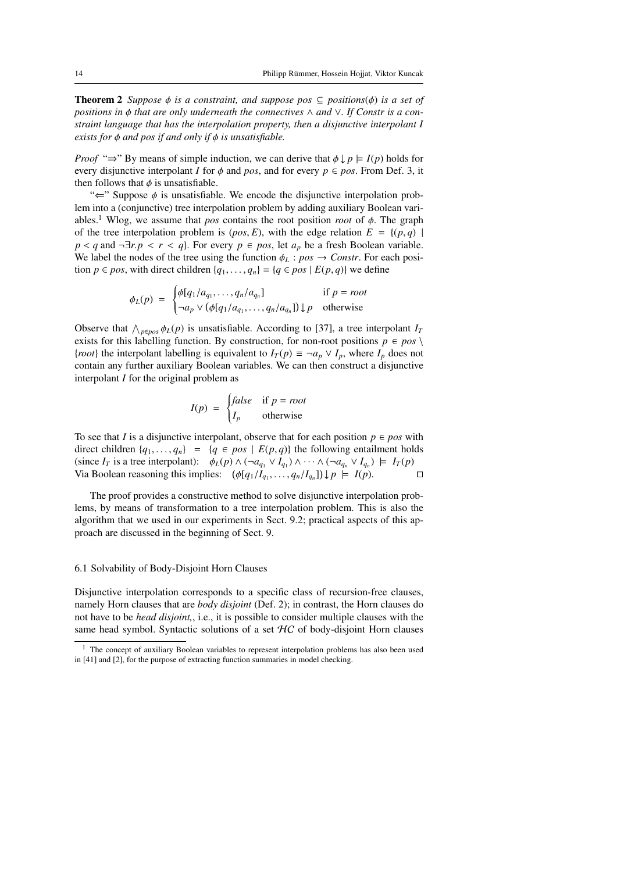**Theorem 2** *Suppose*  $\phi$  *is a constraint, and suppose pos*  $\subseteq$  *positions* $(\phi)$  *is a set of positions in* φ *that are only underneath the connectives* <sup>∧</sup> *and* <sup>∨</sup>*. If Constr is a constraint language that has the interpolation property, then a disjunctive interpolant I exists for* φ *and pos if and only if* φ *is unsatisfiable.*

*Proof* "⇒" By means of simple induction, we can derive that  $\phi \downarrow p \models I(p)$  holds for every disjunctive interpolant *I* for  $\phi$  and *pos*, and for every  $p \in pos$ . From Def. 3, it then follows that  $\phi$  is unsatisfiable.

" $\Leftarrow$ " Suppose  $\phi$  is unsatisfiable. We encode the disjunctive interpolation problem into a (conjunctive) tree interpolation problem by adding auxiliary Boolean variables.<sup>1</sup> Wlog, we assume that *pos* contains the root position *root* of  $\phi$ . The graph of the tree interpolation problem is  $(pos, E)$ , with the edge relation  $E = \{(p, q) \mid$ *p* < *q* and ¬∃*r*.*p* < *r* < *q*}. For every *p* ∈ *pos*, let *a<sub>p</sub>* be a fresh Boolean variable. We label the nodes of the tree using the function  $\phi_L$  :  $pos \rightarrow$  *Constr*. For each position  $p \in pos$ , with direct children  $\{q_1, \ldots, q_n\} = \{q \in pos \mid E(p, q)\}$  we define

$$
\phi_L(p) = \begin{cases} \phi[q_1/a_{q_1}, \dots, q_n/a_{q_n}] & \text{if } p = root \\ \neg a_p \vee (\phi[q_1/a_{q_1}, \dots, q_n/a_{q_n}]) \downarrow p & \text{otherwise} \end{cases}
$$

Observe that  $\bigwedge_{p \in pos} \phi_L(p)$  is unsatisfiable. According to [37], a tree interpolant *I<sub>I</sub>* exists for this labelling function. By construction for non-root positions  $p \in pos$ exists for this labelling function. By construction, for non-root positions  $p \in pos \setminus$ {*root*} the interpolant labelling is equivalent to  $I_T(p) \equiv \neg a_p \lor I_p$ , where  $I_p$  does not contain any further auxiliary Boolean variables. We can then construct a disjunctive interpolant *I* for the original problem as

$$
I(p) = \begin{cases} false & \text{if } p = root \\ I_p & \text{otherwise} \end{cases}
$$

To see that *I* is a disjunctive interpolant, observe that for each position  $p \in pos$  with direct children  $\{q_1, \ldots, q_n\} = \{q \in pos \mid E(p, q)\}\$  the following entailment holds (since  $I_T$  is a tree interpolant):  $\phi_L(p) \wedge (\neg a_{q_1} \vee I_{q_1}) \wedge \cdots \wedge (\neg a_{q_n} \vee I_{q_n}) \models I_T(p)$ <br>Via Boolean reasoning this implies:  $(\phi[a, I] - a | I] \cup [n - L(p))$ Via Boolean reasoning this implies:  $(\phi[q_1/I_{q_1},..., q_n/I_{q_n}]) \downarrow p \models I(p)$ .

The proof provides a constructive method to solve disjunctive interpolation problems, by means of transformation to a tree interpolation problem. This is also the algorithm that we used in our experiments in Sect. 9.2; practical aspects of this approach are discussed in the beginning of Sect. 9.

#### 6.1 Solvability of Body-Disjoint Horn Clauses

Disjunctive interpolation corresponds to a specific class of recursion-free clauses, namely Horn clauses that are *body disjoint* (Def. 2); in contrast, the Horn clauses do not have to be *head disjoint,*, i.e., it is possible to consider multiple clauses with the same head symbol. Syntactic solutions of a set  $\mathcal{HC}$  of body-disjoint Horn clauses

<sup>&</sup>lt;sup>1</sup> The concept of auxiliary Boolean variables to represent interpolation problems has also been used in [41] and [2], for the purpose of extracting function summaries in model checking.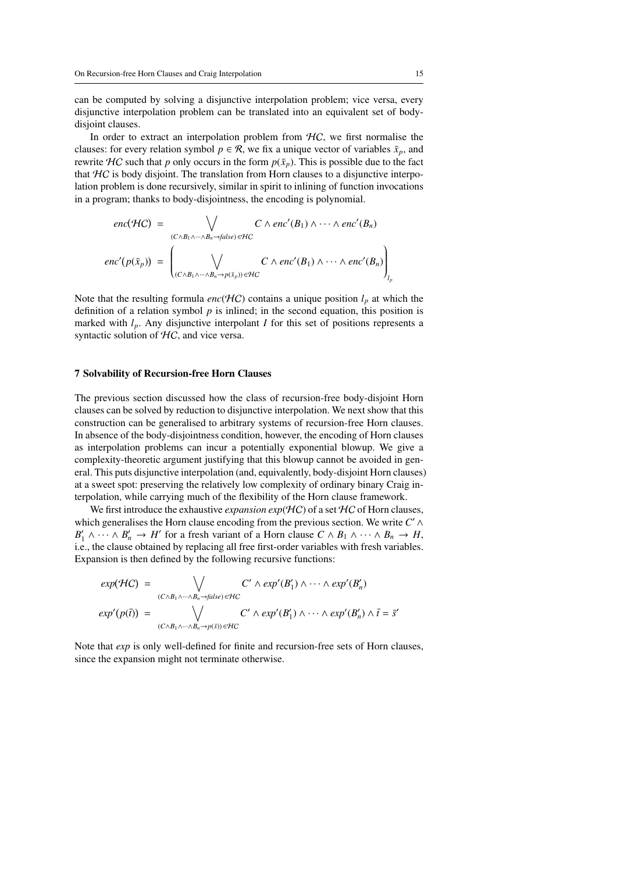can be computed by solving a disjunctive interpolation problem; vice versa, every disjunctive interpolation problem can be translated into an equivalent set of bodydisjoint clauses.

In order to extract an interpolation problem from  $HC$ , we first normalise the clauses: for every relation symbol  $p \in \mathcal{R}$ , we fix a unique vector of variables  $\bar{x}_p$ , and rewrite  $H\mathbf{C}$  such that *p* only occurs in the form  $p(\bar{x}_p)$ . This is possible due to the fact that  $HC$  is body disjoint. The translation from Horn clauses to a disjunctive interpolation problem is done recursively, similar in spirit to inlining of function invocations in a program; thanks to body-disjointness, the encoding is polynomial.

$$
enc(\mathcal{HC}) = \bigvee_{(C \wedge B_1 \wedge \cdots \wedge B_n \to false) \in \mathcal{HC}} C \wedge enc'(B_1) \wedge \cdots \wedge enc'(B_n)
$$

$$
enc'(p(\bar{x}_p)) = \left(\bigvee_{(C \wedge B_1 \wedge \cdots \wedge B_n \to p(\bar{x}_p)) \in \mathcal{HC}} C \wedge enc'(B_1) \wedge \cdots \wedge enc'(B_n)\right)_{l_p}
$$

Note that the resulting formula  $enc(\mathcal{HC})$  contains a unique position  $l_p$  at which the definition of a relation symbol  $p$  is inlined; in the second equation, this position is marked with  $l_p$ . Any disjunctive interpolant *I* for this set of positions represents a syntactic solution of  $HC$ , and vice versa.

#### 7 Solvability of Recursion-free Horn Clauses

The previous section discussed how the class of recursion-free body-disjoint Horn clauses can be solved by reduction to disjunctive interpolation. We next show that this construction can be generalised to arbitrary systems of recursion-free Horn clauses. In absence of the body-disjointness condition, however, the encoding of Horn clauses as interpolation problems can incur a potentially exponential blowup. We give a complexity-theoretic argument justifying that this blowup cannot be avoided in general. This puts disjunctive interpolation (and, equivalently, body-disjoint Horn clauses) at a sweet spot: preserving the relatively low complexity of ordinary binary Craig interpolation, while carrying much of the flexibility of the Horn clause framework.

We first introduce the exhaustive *expansion exp*(HC) of a set HC of Horn clauses, which generalises the Horn clause encoding from the previous section. We write *C'* ∧  $B'_1 \wedge \cdots \wedge B'_n \to H'$  for a fresh variant of a Horn clause  $C \wedge B_1 \wedge \cdots \wedge B_n \to H$ , i.e., the clause obtained by replacing all free first-order variables with fresh variables. Expansion is then defined by the following recursive functions:

$$
exp(\mathcal{H}C) = \bigvee_{(C \wedge B_1 \wedge \cdots \wedge B_n \to false) \in \mathcal{H}C} C' \wedge exp'(B'_1) \wedge \cdots \wedge exp'(B'_n)
$$
  

$$
exp'(p(\bar{t})) = \bigvee_{(C \wedge B_1 \wedge \cdots \wedge B_n \to p(\bar{s})) \in \mathcal{H}C} C' \wedge exp'(B'_1) \wedge \cdots \wedge exp'(B'_n) \wedge \bar{t} = \bar{s}'
$$

Note that *exp* is only well-defined for finite and recursion-free sets of Horn clauses, since the expansion might not terminate otherwise.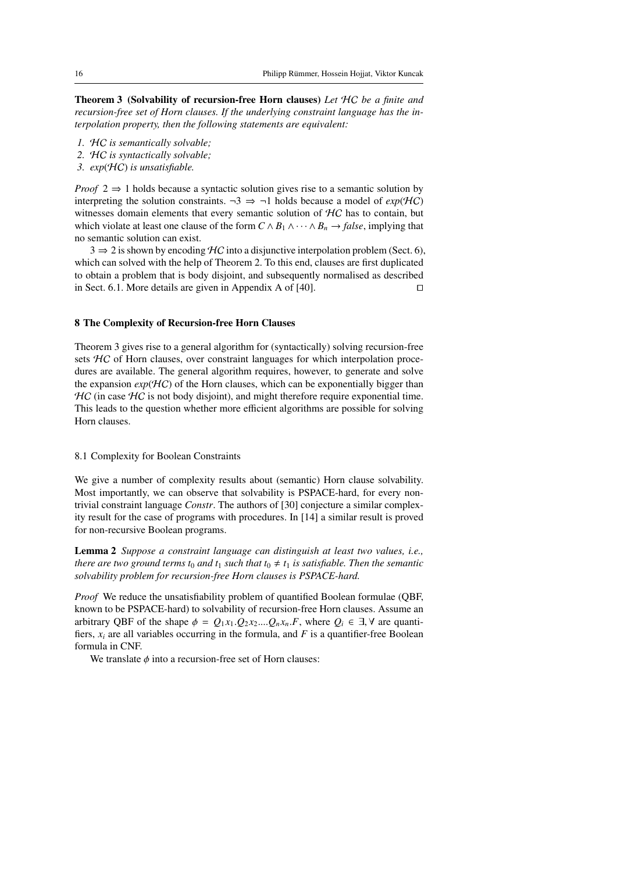Theorem 3 (Solvability of recursion-free Horn clauses) *Let* HC *be a finite and recursion-free set of Horn clauses. If the underlying constraint language has the interpolation property, then the following statements are equivalent:*

- *1.* HC *is semantically solvable;*
- *2.* HC *is syntactically solvable;*
- *3. exp*(HC) *is unsatisfiable.*

*Proof* 2 ⇒ 1 holds because a syntactic solution gives rise to a semantic solution by interpreting the solution constraints.  $\neg 3 \Rightarrow \neg 1$  holds because a model of  $exp(HC)$ witnesses domain elements that every semantic solution of  $HC$  has to contain, but which violate at least one clause of the form  $C \wedge B_1 \wedge \cdots \wedge B_n \rightarrow false$ , implying that no semantic solution can exist.

 $3 \Rightarrow 2$  is shown by encoding HC into a disjunctive interpolation problem (Sect. 6), which can solved with the help of Theorem 2. To this end, clauses are first duplicated to obtain a problem that is body disjoint, and subsequently normalised as described in Sect. 6.1. More details are given in Appendix A of  $[40]$ .

#### 8 The Complexity of Recursion-free Horn Clauses

Theorem 3 gives rise to a general algorithm for (syntactically) solving recursion-free sets HC of Horn clauses, over constraint languages for which interpolation procedures are available. The general algorithm requires, however, to generate and solve the expansion  $exp(HC)$  of the Horn clauses, which can be exponentially bigger than  $HC$  (in case  $HC$  is not body disjoint), and might therefore require exponential time. This leads to the question whether more efficient algorithms are possible for solving Horn clauses.

#### 8.1 Complexity for Boolean Constraints

We give a number of complexity results about (semantic) Horn clause solvability. Most importantly, we can observe that solvability is PSPACE-hard, for every nontrivial constraint language *Constr*. The authors of [30] conjecture a similar complexity result for the case of programs with procedures. In [14] a similar result is proved for non-recursive Boolean programs.

Lemma 2 *Suppose a constraint language can distinguish at least two values, i.e., there are two ground terms t<sub>0</sub> and t<sub>1</sub> such that t<sub>0</sub>*  $\neq$  *t<sub>1</sub> <i>is satisfiable. Then the semantic solvability problem for recursion-free Horn clauses is PSPACE-hard.*

*Proof* We reduce the unsatisfiability problem of quantified Boolean formulae (QBF, known to be PSPACE-hard) to solvability of recursion-free Horn clauses. Assume an arbitrary QBF of the shape  $\phi = Q_1 x_1 \cdot Q_2 x_2 \dots Q_n x_n \cdot F$ , where  $Q_i \in \exists$ ,  $\forall$  are quantifiers,  $x_i$  are all variables occurring in the formula, and  $F$  is a quantifier-free Boolean formula in CNF.

We translate  $\phi$  into a recursion-free set of Horn clauses: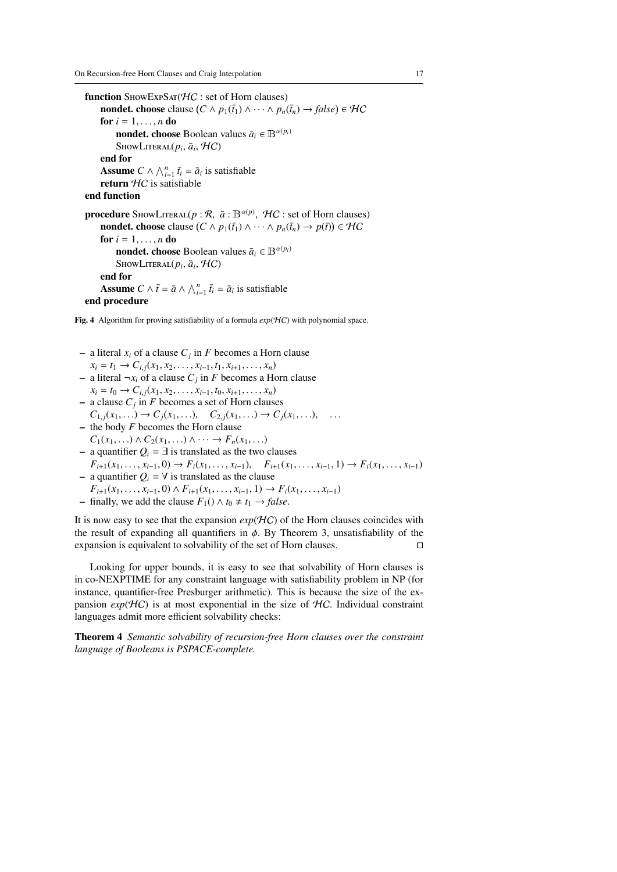function  $S$ HOWEXP $S$ AT $(HC : set of$  Horn clauses) nondet. choose clause  $(C \wedge p_1(\bar{t}_1) \wedge \cdots \wedge p_n(\bar{t}_n) \rightarrow false) \in \mathcal{HC}$ for  $i = 1, \ldots, n$  do nondet. choose Boolean values  $\bar{a}_i \in \mathbb{B}^{\alpha(p_i)}$  $\text{ShowLiteral}(p_i, \bar{a}_i, \mathcal{HC})$ end for Assume  $C \wedge \bigwedge_{i=1}^{n} \overline{t_i} = \overline{a_i}$  is satisfiable return  $HC$  is satisfiable end function **procedure** ShowLiteral( $p : \mathcal{R}, \bar{a} : \mathbb{B}^{\alpha(p)}, \mathcal{H}C$  : set of Horn clauses) nondet. choose clause  $(C \wedge p_1(\bar{t}_1) \wedge \cdots \wedge p_n(\bar{t}_n) \rightarrow p(\bar{t})) \in \mathcal{HC}$ for  $i = 1, \ldots, n$  do nondet. choose Boolean values  $\bar{a}_i \in \mathbb{B}^{\alpha(p_i)}$  $\text{ShowLiteral}(p_i, \bar{a}_i, \mathcal{HC})$ end for Assume  $C \wedge \bar{t} = \bar{a} \wedge \bigwedge_{i=1}^{n} \bar{t}_i = \bar{a}_i$  is satisfiable

# end procedure

Fig. 4 Algorithm for proving satisfiability of a formula  $exp(HC)$  with polynomial space.

- $-$  a literal  $x_i$  of a clause  $C_j$  in  $F$  becomes a Horn clause  $x_i = t_1 \rightarrow C_{i,i}(x_1, x_2, \ldots, x_{i-1}, t_1, x_{i+1}, \ldots, x_n)$
- − a literal  $\neg x_i$  of a clause  $C_j$  in *F* becomes a Horn clause
- $x_i = t_0 \rightarrow C_{i,j}(x_1, x_2, \ldots, x_{i-1}, t_0, x_{i+1}, \ldots, x_n)$ – a clause *C<sup>j</sup>* in *F* becomes a set of Horn clauses  $C_{1}$  *i*(*x*<sub>1</sub>, . . .)  $\rightarrow$   $C$ *j*(*x*<sub>1</sub>, . . .),  $C_{2}$  *j*(*x*<sub>1</sub>, . . .)  $\rightarrow$   $C$ *j*(*x*<sub>1</sub>, . . .), . . .
- the body *F* becomes the Horn clause
- *C*<sub>1</sub>(*x*<sub>1</sub>, . . .) ∧ *C*<sub>2</sub>(*x*<sub>1</sub>, . . .) ∧ · · · → *F<sub>n</sub>*(*x*<sub>1</sub>, . . .) – a quantifier  $Q_i$  = ∃ is translated as the two clauses  $F_{i+1}(x_1,\ldots,x_{i-1},0) \to F_i(x_1,\ldots,x_{i-1}), \quad F_{i+1}(x_1,\ldots,x_{i-1},1) \to F_i(x_1,\ldots,x_{i-1})$
- a quantifier  $Q_i = \forall$  is translated as the clause
- *F*<sub>*i*+1</sub>(*x*<sub>1</sub>, . . . , *x*<sub>*i*-1</sub>, 0) ∧ *F*<sub>*i*+1</sub>(*x*<sub>1</sub>, . . . , *x*<sub>*i*-1</sub>, 1) → *F*<sub>*i*</sub>(*x*<sub>1</sub>, . . . , *x*<sub>*i*-1</sub>)
- finally, we add the clause  $F_1() ∧ t_0 ≠ t_1 → false$ .

It is now easy to see that the expansion  $exp(HC)$  of the Horn clauses coincides with the result of expanding all quantifiers in  $\phi$ . By Theorem 3, unsatisfiability of the expansion is equivalent to solvability of the set of Horn clauses. expansion is equivalent to solvability of the set of Horn clauses.

Looking for upper bounds, it is easy to see that solvability of Horn clauses is in co-NEXPTIME for any constraint language with satisfiability problem in NP (for instance, quantifier-free Presburger arithmetic). This is because the size of the expansion  $exp(HC)$  is at most exponential in the size of  $HC$ . Individual constraint languages admit more efficient solvability checks:

Theorem 4 *Semantic solvability of recursion-free Horn clauses over the constraint language of Booleans is PSPACE-complete.*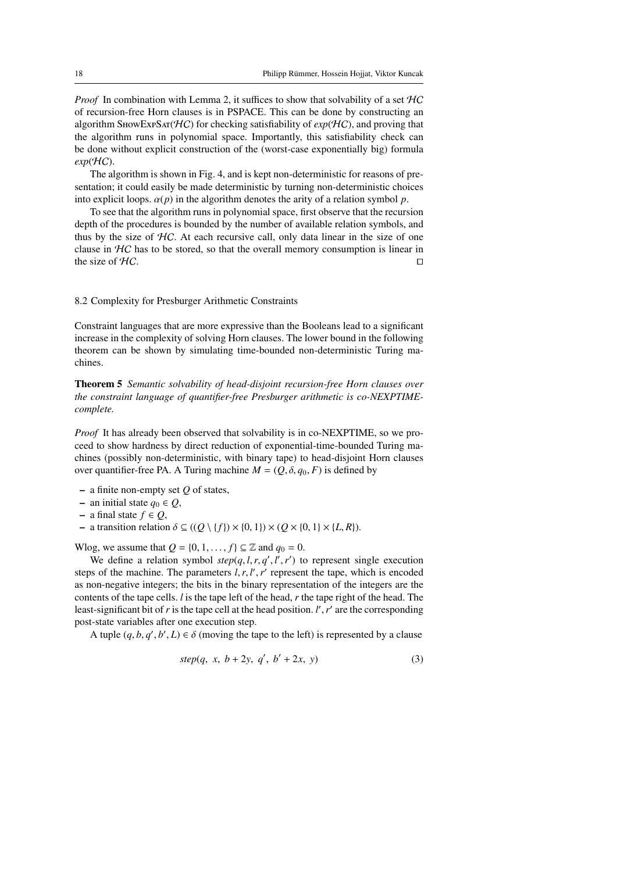*Proof* In combination with Lemma 2, it suffices to show that solvability of a set  $\mathcal{H}C$ of recursion-free Horn clauses is in PSPACE. This can be done by constructing an algorithm ShowExpS $AT(HC)$  for checking satisfiability of  $exp(HC)$ , and proving that the algorithm runs in polynomial space. Importantly, this satisfiability check can be done without explicit construction of the (worst-case exponentially big) formula  $exp(\mathcal{H}C)$ .

The algorithm is shown in Fig. 4, and is kept non-deterministic for reasons of presentation; it could easily be made deterministic by turning non-deterministic choices into explicit loops.  $\alpha(p)$  in the algorithm denotes the arity of a relation symbol p.

To see that the algorithm runs in polynomial space, first observe that the recursion depth of the procedures is bounded by the number of available relation symbols, and thus by the size of  $HC$ . At each recursive call, only data linear in the size of one clause in  $H\mathcal{C}$  has to be stored, so that the overall memory consumption is linear in the size of  $H$ C.

#### 8.2 Complexity for Presburger Arithmetic Constraints

Constraint languages that are more expressive than the Booleans lead to a significant increase in the complexity of solving Horn clauses. The lower bound in the following theorem can be shown by simulating time-bounded non-deterministic Turing machines.

Theorem 5 *Semantic solvability of head-disjoint recursion-free Horn clauses over the constraint language of quantifier-free Presburger arithmetic is co-NEXPTIMEcomplete.*

*Proof* It has already been observed that solvability is in co-NEXPTIME, so we proceed to show hardness by direct reduction of exponential-time-bounded Turing machines (possibly non-deterministic, with binary tape) to head-disjoint Horn clauses over quantifier-free PA. A Turing machine  $M = (Q, \delta, q_0, F)$  is defined by

- a finite non-empty set *Q* of states,
- an initial state *q*<sup>0</sup> ∈ *Q*,
- a final state *f* ∈ *Q*,
- a transition relation δ <sup>⊆</sup> ((*<sup>Q</sup>* \ {*f*}) × {0, <sup>1</sup>}) <sup>×</sup> (*<sup>Q</sup>* × {0, <sup>1</sup>} × {*L*, *<sup>R</sup>*}).

Wlog, we assume that  $Q = \{0, 1, \ldots, f\} \subseteq \mathbb{Z}$  and  $q_0 = 0$ .

We define a relation symbol  $step(q, l, r, q', l', r')$  to represent single execution<br>s of the machine. The parameters  $l, r, l', r'$  represent the tape, which is encoded steps of the machine. The parameters  $l, r, l', r'$  represent the tape, which is encoded<br>as non-negative integers; the bits in the binary representation of the integers are the as non-negative integers; the bits in the binary representation of the integers are the contents of the tape cells. *l* is the tape left of the head, *r* the tape right of the head. The least-significant bit of  $r$  is the tape cell at the head position.  $l'$ ,  $r'$  are the corresponding post-state variables after one execution step. post-state variables after one execution step.

A tuple  $(q, b, q', b', L) \in \delta$  (moving the tape to the left) is represented by a clause

$$
step(q, x, b+2y, q', b'+2x, y)
$$
 (3)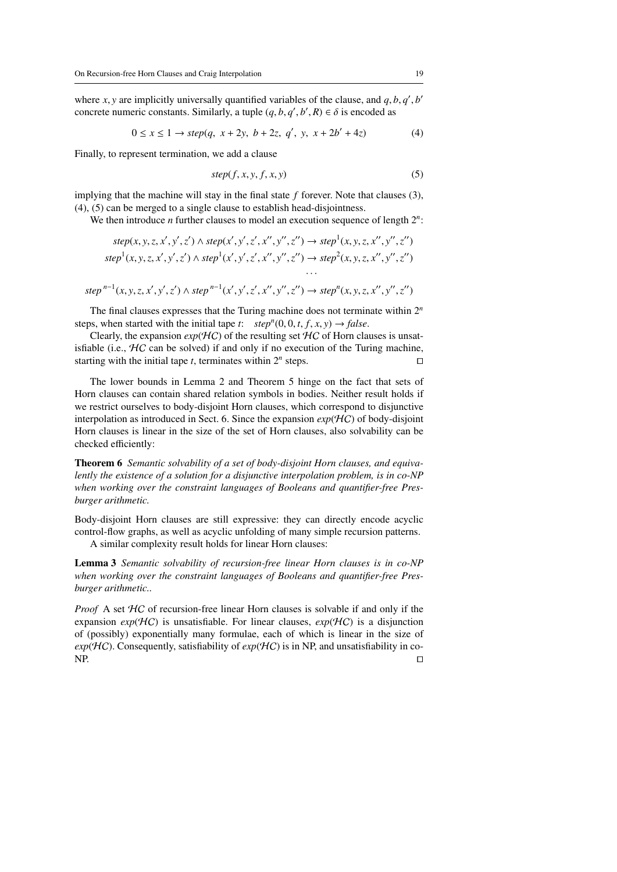where *x*, *y* are implicitly universally quantified variables of the clause, and *q*, *b*, *q'*, *b'* concrete numeric constants. Similarly, a tuple (*a, b, a', b', R)*  $\in \delta$  is encoded as concrete numeric constants. Similarly, a tuple  $(q, b, q', b', R) \in \delta$  is encoded as

$$
0 \le x \le 1 \to step(q, \ x + 2y, \ b + 2z, \ q', \ y, \ x + 2b' + 4z) \tag{4}
$$

Finally, to represent termination, we add a clause

$$
step(f, x, y, f, x, y) \tag{5}
$$

implying that the machine will stay in the final state *f* forever. Note that clauses (3), (4), (5) can be merged to a single clause to establish head-disjointness.

We then introduce *n* further clauses to model an execution sequence of length 2*<sup>n</sup>* :

$$
step(x, y, z, x', y', z') \land step(x', y', z', x'', y'', z'') \rightarrow step^{1}(x, y, z, x'', y'', z'')
$$
  
\n
$$
step^{1}(x, y, z, x', y', z') \land step^{1}(x', y', z', x'', y'', z'') \rightarrow step^{2}(x, y, z, x'', y'', z'')
$$

$$
step^{n-1}(x, y, z, x', y', z') \land step^{n-1}(x', y', z', x'', y'', z'') \rightarrow step^{n}(x, y, z, x'', y'', z'')
$$

The final clauses expresses that the Turing machine does not terminate within 2*<sup>n</sup>* steps, when started with the initial tape *t*:  $step^n(0, 0, t, f, x, y) \rightarrow false$ .<br>Clearly the expansion  $exp(HC)$  of the resulting set  $HC$  of Horn cla

Clearly, the expansion  $exp(HC)$  of the resulting set  $HC$  of Horn clauses is unsatisfiable (i.e.,  $\mathcal{H}C$  can be solved) if and only if no execution of the Turing machine, starting with the initial tape *t*, terminates within  $2^n$  steps.

The lower bounds in Lemma 2 and Theorem 5 hinge on the fact that sets of Horn clauses can contain shared relation symbols in bodies. Neither result holds if we restrict ourselves to body-disjoint Horn clauses, which correspond to disjunctive interpolation as introduced in Sect. 6. Since the expansion  $exp(HC)$  of body-disjoint Horn clauses is linear in the size of the set of Horn clauses, also solvability can be checked efficiently:

Theorem 6 *Semantic solvability of a set of body-disjoint Horn clauses, and equivalently the existence of a solution for a disjunctive interpolation problem, is in co-NP when working over the constraint languages of Booleans and quantifier-free Presburger arithmetic.*

Body-disjoint Horn clauses are still expressive: they can directly encode acyclic control-flow graphs, as well as acyclic unfolding of many simple recursion patterns. A similar complexity result holds for linear Horn clauses:

Lemma 3 *Semantic solvability of recursion-free linear Horn clauses is in co-NP when working over the constraint languages of Booleans and quantifier-free Presburger arithmetic..*

*Proof* A set HC of recursion-free linear Horn clauses is solvable if and only if the expansion  $exp(HC)$  is unsatisfiable. For linear clauses,  $exp(HC)$  is a disjunction of (possibly) exponentially many formulae, each of which is linear in the size of  $exp(HC)$ . Consequently, satisfiability of  $exp(HC)$  is in NP, and unsatisfiability in co- $NP.$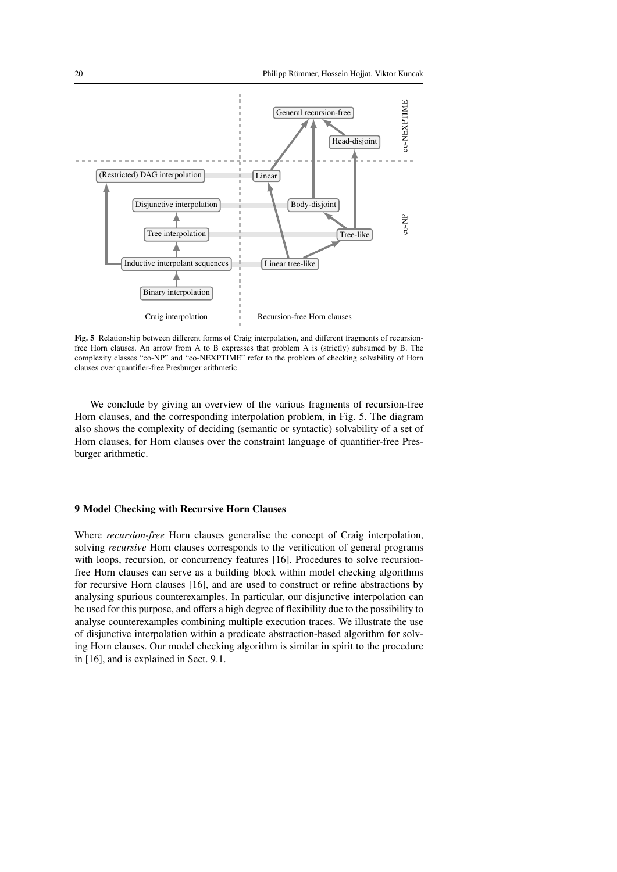

Fig. 5 Relationship between different forms of Craig interpolation, and different fragments of recursionfree Horn clauses. An arrow from A to B expresses that problem A is (strictly) subsumed by B. The complexity classes "co-NP" and "co-NEXPTIME" refer to the problem of checking solvability of Horn clauses over quantifier-free Presburger arithmetic.

We conclude by giving an overview of the various fragments of recursion-free Horn clauses, and the corresponding interpolation problem, in Fig. 5. The diagram also shows the complexity of deciding (semantic or syntactic) solvability of a set of Horn clauses, for Horn clauses over the constraint language of quantifier-free Presburger arithmetic.

#### 9 Model Checking with Recursive Horn Clauses

Where *recursion-free* Horn clauses generalise the concept of Craig interpolation, solving *recursive* Horn clauses corresponds to the verification of general programs with loops, recursion, or concurrency features [16]. Procedures to solve recursionfree Horn clauses can serve as a building block within model checking algorithms for recursive Horn clauses [16], and are used to construct or refine abstractions by analysing spurious counterexamples. In particular, our disjunctive interpolation can be used for this purpose, and offers a high degree of flexibility due to the possibility to analyse counterexamples combining multiple execution traces. We illustrate the use of disjunctive interpolation within a predicate abstraction-based algorithm for solving Horn clauses. Our model checking algorithm is similar in spirit to the procedure in [16], and is explained in Sect. 9.1.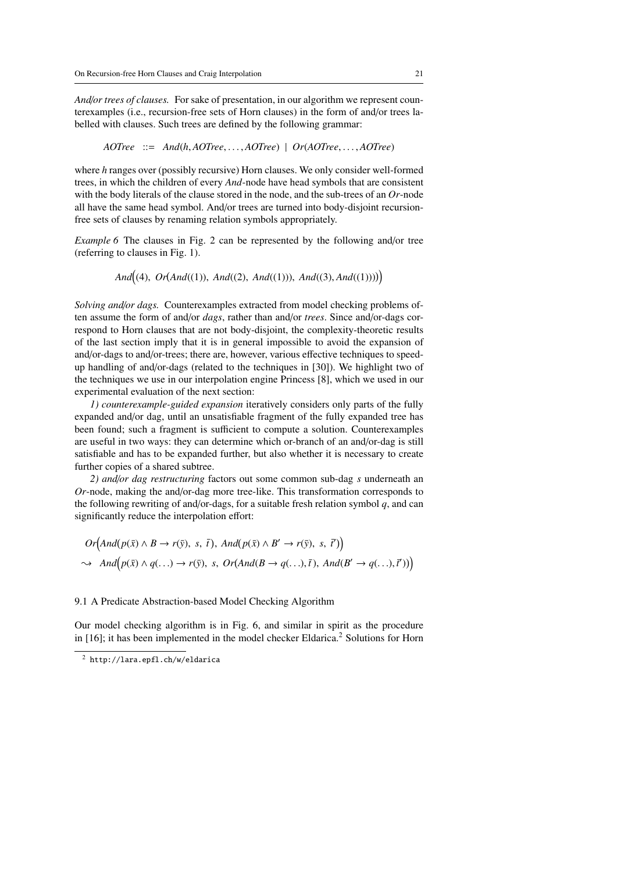*And*/*or trees of clauses.* For sake of presentation, in our algorithm we represent counterexamples (i.e., recursion-free sets of Horn clauses) in the form of and/or trees labelled with clauses. Such trees are defined by the following grammar:

*AOTree* ::<sup>=</sup> *And*(*h*, *AOTree*, . . . , *AOTree*) <sup>|</sup> *Or*(*AOTree*, . . . , *AOTree*)

where *h* ranges over (possibly recursive) Horn clauses. We only consider well-formed trees, in which the children of every *And*-node have head symbols that are consistent with the body literals of the clause stored in the node, and the sub-trees of an *Or*-node all have the same head symbol. And/or trees are turned into body-disjoint recursionfree sets of clauses by renaming relation symbols appropriately.

*Example 6* The clauses in Fig. 2 can be represented by the following and/or tree (referring to clauses in Fig. 1).

*And*((4), *Or*(*And*((1)), *And*((2), *And*((1))), *And*((3), *And*((1)))))

*Solving and*/*or dags.* Counterexamples extracted from model checking problems often assume the form of and/or *dags*, rather than and/or *trees*. Since and/or-dags correspond to Horn clauses that are not body-disjoint, the complexity-theoretic results of the last section imply that it is in general impossible to avoid the expansion of and/or-dags to and/or-trees; there are, however, various effective techniques to speedup handling of and/or-dags (related to the techniques in [30]). We highlight two of the techniques we use in our interpolation engine Princess [8], which we used in our experimental evaluation of the next section:

*1) counterexample-guided expansion* iteratively considers only parts of the fully expanded and/or dag, until an unsatisfiable fragment of the fully expanded tree has been found; such a fragment is sufficient to compute a solution. Counterexamples are useful in two ways: they can determine which or-branch of an and/or-dag is still satisfiable and has to be expanded further, but also whether it is necessary to create further copies of a shared subtree.

*2) and*/*or dag restructuring* factors out some common sub-dag *s* underneath an *Or*-node, making the and/or-dag more tree-like. This transformation corresponds to the following rewriting of and/or-dags, for a suitable fresh relation symbol *q*, and can significantly reduce the interpolation effort:

$$
Or(And(p(\bar{x}) \land B \to r(\bar{y}), s, \bar{t}), And(p(\bar{x}) \land B' \to r(\bar{y}), s, \bar{t}))
$$
  

$$
\sim And(p(\bar{x}) \land q(...) \to r(\bar{y}), s, Or(And(B \to q(...), \bar{t}), And(B' \to q(...), \bar{t})))
$$

### 9.1 A Predicate Abstraction-based Model Checking Algorithm

Our model checking algorithm is in Fig. 6, and similar in spirit as the procedure in  $[16]$ ; it has been implemented in the model checker Eldarica.<sup>2</sup> Solutions for Horn

<sup>2</sup> http://lara.epfl.ch/w/eldarica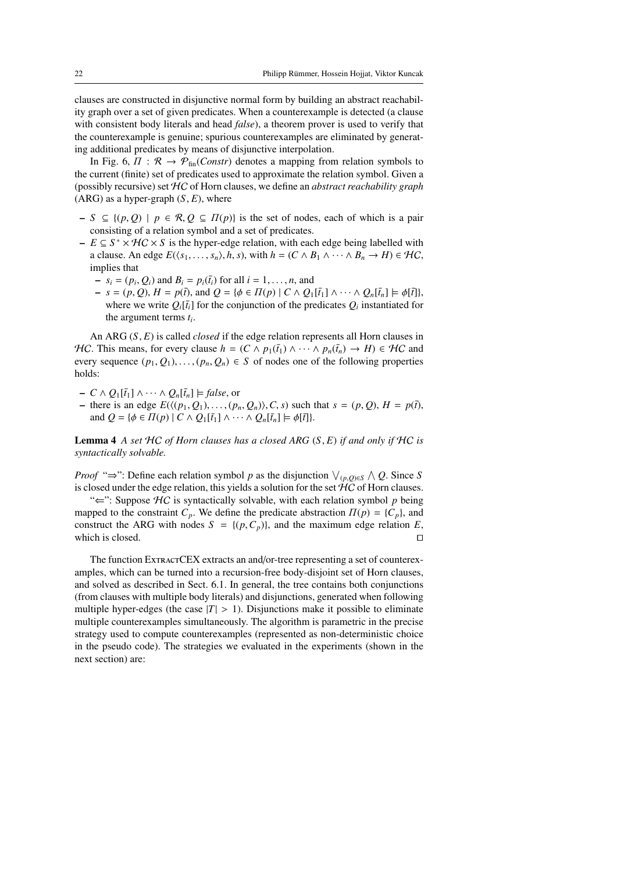clauses are constructed in disjunctive normal form by building an abstract reachability graph over a set of given predicates. When a counterexample is detected (a clause with consistent body literals and head *false*), a theorem prover is used to verify that the counterexample is genuine; spurious counterexamples are eliminated by generating additional predicates by means of disjunctive interpolation.

In Fig. 6,  $\Pi : \mathcal{R} \to \mathcal{P}_{fin}(Constr)$  denotes a mapping from relation symbols to the current (finite) set of predicates used to approximate the relation symbol. Given a (possibly recursive) set HC of Horn clauses, we define an *abstract reachability graph*  $(ARG)$  as a hyper-graph  $(S, E)$ , where

- *<sup>S</sup>* ⊆ {(*p*, *<sup>Q</sup>*) <sup>|</sup> *<sup>p</sup>* ∈ R, *<sup>Q</sup>* <sup>⊆</sup> Π(*p*)} is the set of nodes, each of which is a pair consisting of a relation symbol and a set of predicates.
- $E \subseteq S^* \times \mathcal{H}C \times S$  is the hyper-edge relation, with each edge being labelled with a clause. An edge  $E(\langle s_1, \ldots, s_n \rangle, h, s)$ , with  $h = (C \wedge B_1 \wedge \cdots \wedge B_n \rightarrow H) \in H\mathcal{C}$ , implies that
	- $-s_i = (p_i, Q_i)$  and  $B_i = p_i(\overline{t}_i)$  for all  $i = 1, \ldots, n$ , and  $Q_i = s_i = (n, Q_i)$   $H = p(\overline{t}_i)$  and  $Q_i = s_i \in H(n) \mid C \wedge Q_i$
	- $s = (p, Q), H = p(\bar{t}),$  and  $Q = \{ \phi \in \Pi(p) \mid C \wedge Q_1[\bar{t}_1] \wedge \cdots \wedge Q_n[\bar{t}_n] \models \phi[\bar{t}]\},$ where we write  $Q_i[\bar{t}_i]$  for the conjunction of the predicates  $Q_i$  instantiated for the argument terms *t<sup>i</sup>* .

An ARG (*S*, *<sup>E</sup>*) is called *closed* if the edge relation represents all Horn clauses in *HC*. This means, for every clause  $h = (C \wedge p_1(\bar{t}_1) \wedge \cdots \wedge p_n(\bar{t}_n) \rightarrow H) \in H\mathcal{C}$  and every sequence  $(p_1, Q_1), \ldots, (p_n, Q_n) \in S$  of nodes one of the following properties holds:

- $-C \wedge Q_1[\bar{t}_1] \wedge \cdots \wedge Q_n[\bar{t}_n] \models false$ , or
- there is an edge  $E(\langle (p_1, Q_1), \ldots, (p_n, Q_n) \rangle, C, s)$  such that  $s = (p, Q), H = p(\bar{t}),$ and  $Q = \{\phi \in \Pi(p) \mid C \wedge Q_1[\bar{t}_1] \wedge \cdots \wedge Q_n[\bar{t}_n] \models \phi[\bar{t}]\}.$

Lemma 4 *A set* HC *of Horn clauses has a closed ARG* (*S*, *<sup>E</sup>*) *if and only if* HC *is syntactically solvable.*

*Proof* " $\Rightarrow$ ": Define each relation symbol *p* as the disjunction  $\vee_{(p,Q)\in S} \wedge Q$ . Since *S* is closed under the edge relation, this yields a solution for the set  $\mathcal{HC}$  of Horn clauses.

"⇐": Suppose HC is syntactically solvable, with each relation symbol *p* being mapped to the constraint  $C_p$ . We define the predicate abstraction  $\Pi(p) = \{C_p\}$ , and construct the ARG with nodes  $S = \{(p, C_p)\}\)$ , and the maximum edge relation *E*, which is closed. which is closed.

The function ExtractCEX extracts an and/or-tree representing a set of counterexamples, which can be turned into a recursion-free body-disjoint set of Horn clauses, and solved as described in Sect. 6.1. In general, the tree contains both conjunctions (from clauses with multiple body literals) and disjunctions, generated when following multiple hyper-edges (the case  $|T| > 1$ ). Disjunctions make it possible to eliminate multiple counterexamples simultaneously. The algorithm is parametric in the precise strategy used to compute counterexamples (represented as non-deterministic choice in the pseudo code). The strategies we evaluated in the experiments (shown in the next section) are: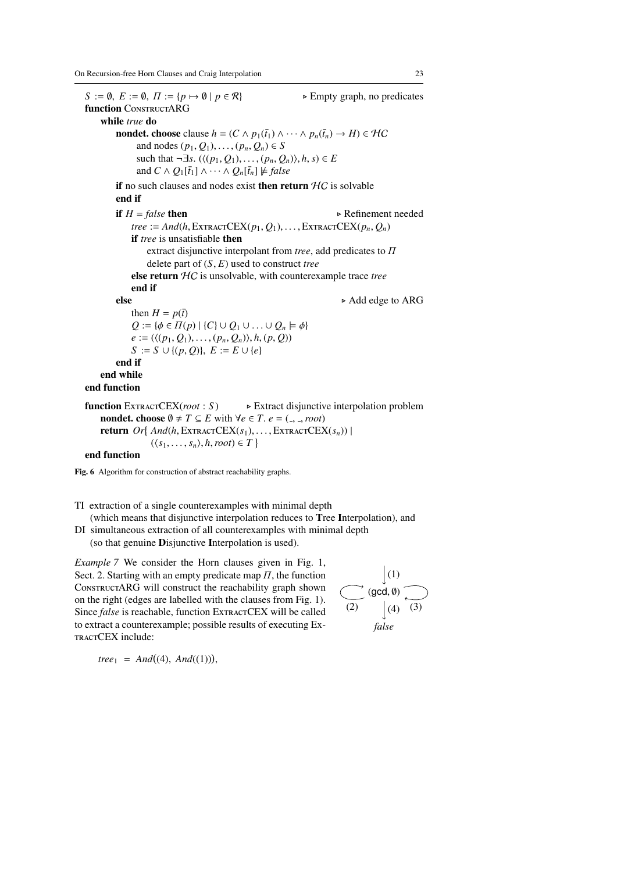$S := \emptyset$ ,  $E := \emptyset$ ,  $\Pi := \{p \mapsto \emptyset \mid p \in \mathcal{R}\}$  . Empty graph, no predicates function CONSTRUCTARG while *true* do **nondet. choose** clause  $h = (C \wedge p_1(\bar{t}_1) \wedge \cdots \wedge p_n(\bar{t}_n) \rightarrow H) \in H\mathcal{C}$ and nodes  $(p_1, Q_1), \ldots, (p_n, Q_n) \in S$ such that  $\neg \exists s. (\langle (p_1, Q_1), \ldots, (p_n, Q_n) \rangle, h, s) \in E$ and  $C \wedge Q_1[\bar{t}_1] \wedge \cdots \wedge Q_n[\bar{t}_n] \not\models false$ if no such clauses and nodes exist then return  $HC$  is solvable end if **if**  $H = false$  then <br>tree :  $= And(b$  EXTRACTCEX(p, Q,) EXTRACTCEX(p, Q) *tree* := *And*(*h*, ExtractCEX(*p*<sub>1</sub>, *Q*<sub>1</sub>), . . . . , ExtractCEX(*p<sub>n</sub>*, *Q<sub>n</sub>*) if tree is unsatisfiable then if *tree* is unsatisfiable then extract disjunctive interpolant from *tree*, add predicates to Π delete part of (*S*, *<sup>E</sup>*) used to construct *tree* else return HC is unsolvable, with counterexample trace *tree* end if else  $\triangleright$  Add edge to ARG then  $H = p(\bar{t})$  $Q := \{\phi \in \Pi(p) \mid \{C\} \cup Q_1 \cup \ldots \cup Q_n \models \phi\}$  $e := (\langle (p_1, Q_1), \ldots, (p_n, Q_n) \rangle, h, (p, Q))$ *S* := *S* ∪ {(*p*, *Q*)}, *E* := *E* ∪ {*e*} end if end while end function function <sup>E</sup>xtractCEX(*root* : *<sup>S</sup>* ) . Extract disjunctive interpolation problem nondet. choose  $\emptyset \neq T \subseteq E$  with  $\forall e \in T$ .  $e = (\square, \square, root)$ **return**  $Or\{ And(h, \text{ERTCEX}(s_1), \ldots, \text{ERTRACTCEX}(s_n)) \mid (s_1, \ldots, s_n) \in T\}$  $(\langle s_1, \ldots, s_n \rangle, h, root) \in T$ 

end function

Fig. 6 Algorithm for construction of abstract reachability graphs.

TI extraction of a single counterexamples with minimal depth

(which means that disjunctive interpolation reduces to Tree Interpolation), and

DI simultaneous extraction of all counterexamples with minimal depth (so that genuine Disjunctive Interpolation is used).

*Example 7* We consider the Horn clauses given in Fig. 1, Sect. 2. Starting with an empty predicate map  $\Pi$ , the function ConstructARG will construct the reachability graph shown on the right (edges are labelled with the clauses from Fig. 1). Since *false* is reachable, function ExtractCEX will be called to extract a counterexample; possible results of executing Ex-TRACTCEX include:



 $tree_1 = And((4), And((1))),$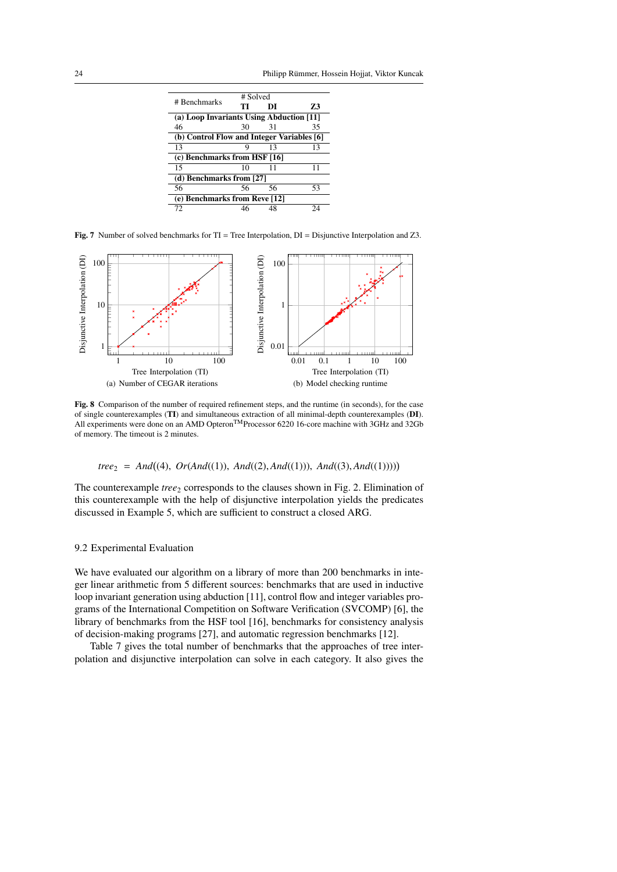| # Benchmarks                               | # Solved |    |    |  |  |  |
|--------------------------------------------|----------|----|----|--|--|--|
|                                            | TI       | DI | 73 |  |  |  |
| (a) Loop Invariants Using Abduction [11]   |          |    |    |  |  |  |
| 46                                         | 30       | 31 | 35 |  |  |  |
| (b) Control Flow and Integer Variables [6] |          |    |    |  |  |  |
| 13                                         |          | 13 | 13 |  |  |  |
| (c) Benchmarks from HSF [16]               |          |    |    |  |  |  |
| 15                                         | 10       | 11 | 11 |  |  |  |
| (d) Benchmarks from [27]                   |          |    |    |  |  |  |
| 56                                         | 56       | 56 | 53 |  |  |  |
| (e) Benchmarks from Reve [12]              |          |    |    |  |  |  |
| 72                                         |          |    | 24 |  |  |  |
|                                            |          |    |    |  |  |  |

Fig. 7 Number of solved benchmarks for  $TI = Tree$  Interpolation,  $DI = Disjunctive$  Interpolation and Z3.



Fig. 8 Comparison of the number of required refinement steps, and the runtime (in seconds), for the case of single counterexamples (TI) and simultaneous extraction of all minimal-depth counterexamples (DI). All experiments were done on an AMD Opteron<sup>TM</sup>Processor 6220 16-core machine with 3GHz and 32Gb of memory. The timeout is 2 minutes.

# *tree*<sup>2</sup> = *And* (4), *Or*(*And*((1)), *And*((2), *And*((1))), *And*((3), *And*((1))))

The counterexample *tree*<sub>2</sub> corresponds to the clauses shown in Fig. 2. Elimination of this counterexample with the help of disjunctive interpolation yields the predicates discussed in Example 5, which are sufficient to construct a closed ARG.

#### 9.2 Experimental Evaluation

We have evaluated our algorithm on a library of more than 200 benchmarks in integer linear arithmetic from 5 different sources: benchmarks that are used in inductive loop invariant generation using abduction [11], control flow and integer variables programs of the International Competition on Software Verification (SVCOMP) [6], the library of benchmarks from the HSF tool [16], benchmarks for consistency analysis of decision-making programs [27], and automatic regression benchmarks [12].

Table 7 gives the total number of benchmarks that the approaches of tree interpolation and disjunctive interpolation can solve in each category. It also gives the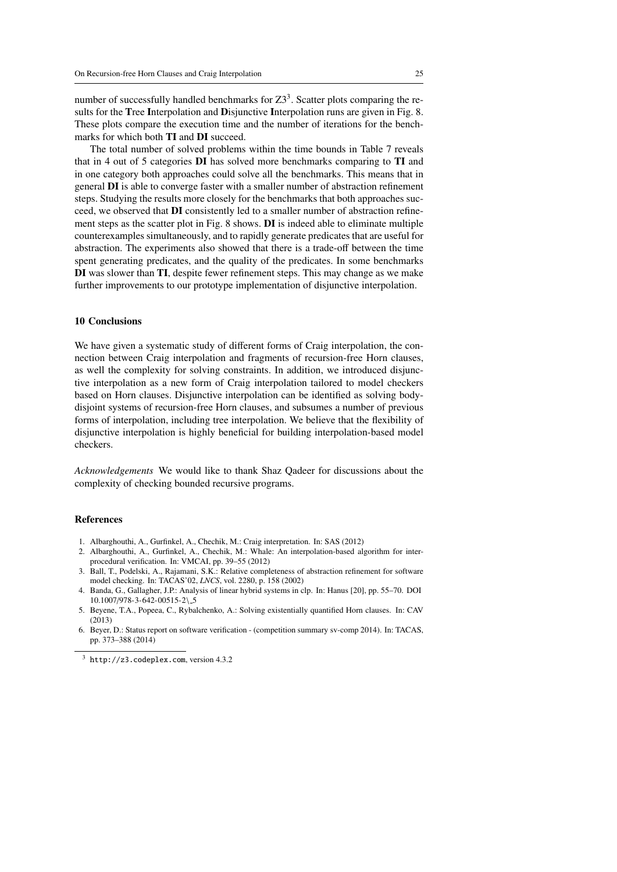number of successfully handled benchmarks for  $Z3<sup>3</sup>$ . Scatter plots comparing the results for the Tree Interpolation and Disjunctive Interpolation runs are given in Fig. 8. These plots compare the execution time and the number of iterations for the benchmarks for which both TI and DI succeed.

The total number of solved problems within the time bounds in Table 7 reveals that in 4 out of 5 categories DI has solved more benchmarks comparing to TI and in one category both approaches could solve all the benchmarks. This means that in general DI is able to converge faster with a smaller number of abstraction refinement steps. Studying the results more closely for the benchmarks that both approaches succeed, we observed that DI consistently led to a smaller number of abstraction refinement steps as the scatter plot in Fig. 8 shows. DI is indeed able to eliminate multiple counterexamples simultaneously, and to rapidly generate predicates that are useful for abstraction. The experiments also showed that there is a trade-off between the time spent generating predicates, and the quality of the predicates. In some benchmarks DI was slower than TI, despite fewer refinement steps. This may change as we make further improvements to our prototype implementation of disjunctive interpolation.

#### 10 Conclusions

We have given a systematic study of different forms of Craig interpolation, the connection between Craig interpolation and fragments of recursion-free Horn clauses, as well the complexity for solving constraints. In addition, we introduced disjunctive interpolation as a new form of Craig interpolation tailored to model checkers based on Horn clauses. Disjunctive interpolation can be identified as solving bodydisjoint systems of recursion-free Horn clauses, and subsumes a number of previous forms of interpolation, including tree interpolation. We believe that the flexibility of disjunctive interpolation is highly beneficial for building interpolation-based model checkers.

*Acknowledgements* We would like to thank Shaz Qadeer for discussions about the complexity of checking bounded recursive programs.

#### References

- 1. Albarghouthi, A., Gurfinkel, A., Chechik, M.: Craig interpretation. In: SAS (2012)
- 2. Albarghouthi, A., Gurfinkel, A., Chechik, M.: Whale: An interpolation-based algorithm for interprocedural verification. In: VMCAI, pp. 39–55 (2012)
- 3. Ball, T., Podelski, A., Rajamani, S.K.: Relative completeness of abstraction refinement for software model checking. In: TACAS'02, *LNCS*, vol. 2280, p. 158 (2002)
- 4. Banda, G., Gallagher, J.P.: Analysis of linear hybrid systems in clp. In: Hanus [20], pp. 55–70. DOI 10.1007/978-3-642-00515-2\ 5
- 5. Beyene, T.A., Popeea, C., Rybalchenko, A.: Solving existentially quantified Horn clauses. In: CAV (2013)
- 6. Beyer, D.: Status report on software verification (competition summary sv-comp 2014). In: TACAS, pp. 373–388 (2014)

<sup>3</sup> http://z3.codeplex.com, version 4.3.2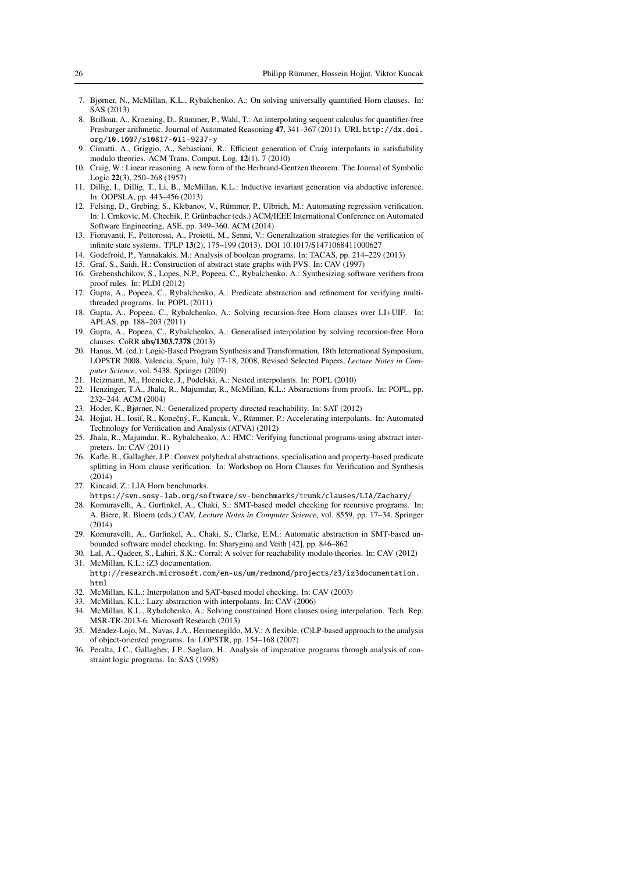- 7. Bjørner, N., McMillan, K.L., Rybalchenko, A.: On solving universally quantified Horn clauses. In: SAS (2013)
- 8. Brillout, A., Kroening, D., Rümmer, P., Wahl, T.: An interpolating sequent calculus for quantifier-free Presburger arithmetic. Journal of Automated Reasoning 47, 341–367 (2011). URL http://dx.doi. org/10.1007/s10817-011-9237-y
- 9. Cimatti, A., Griggio, A., Sebastiani, R.: Efficient generation of Craig interpolants in satisfiability modulo theories. ACM Trans. Comput. Log. 12(1), 7 (2010)
- 10. Craig, W.: Linear reasoning. A new form of the Herbrand-Gentzen theorem. The Journal of Symbolic Logic 22(3), 250–268 (1957)
- 11. Dillig, I., Dillig, T., Li, B., McMillan, K.L.: Inductive invariant generation via abductive inference. In: OOPSLA, pp. 443–456 (2013)
- 12. Felsing, D., Grebing, S., Klebanov, V., Rummer, P., Ulbrich, M.: Automating regression verification. ¨ In: I. Crnkovic, M. Chechik, P. Grünbacher (eds.) ACM/IEEE International Conference on Automated Software Engineering, ASE, pp. 349–360. ACM (2014)
- 13. Fioravanti, F., Pettorossi, A., Proietti, M., Senni, V.: Generalization strategies for the verification of infinite state systems. TPLP 13(2), 175–199 (2013). DOI 10.1017/S1471068411000627
- 14. Godefroid, P., Yannakakis, M.: Analysis of boolean programs. In: TACAS, pp. 214–229 (2013)
- 15. Graf, S., Saidi, H.: Construction of abstract state graphs with PVS. In: CAV (1997)
- 16. Grebenshchikov, S., Lopes, N.P., Popeea, C., Rybalchenko, A.: Synthesizing software verifiers from proof rules. In: PLDI (2012)
- 17. Gupta, A., Popeea, C., Rybalchenko, A.: Predicate abstraction and refinement for verifying multithreaded programs. In: POPL (2011)
- 18. Gupta, A., Popeea, C., Rybalchenko, A.: Solving recursion-free Horn clauses over LI+UIF. In: APLAS, pp. 188–203 (2011)
- 19. Gupta, A., Popeea, C., Rybalchenko, A.: Generalised interpolation by solving recursion-free Horn clauses. CoRR abs/1303.7378 (2013)
- 20. Hanus, M. (ed.): Logic-Based Program Synthesis and Transformation, 18th International Symposium, LOPSTR 2008, Valencia, Spain, July 17-18, 2008, Revised Selected Papers, *Lecture Notes in Computer Science*, vol. 5438. Springer (2009)
- 21. Heizmann, M., Hoenicke, J., Podelski, A.: Nested interpolants. In: POPL (2010)
- 22. Henzinger, T.A., Jhala, R., Majumdar, R., McMillan, K.L.: Abstractions from proofs. In: POPL, pp. 232–244. ACM (2004)
- 23. Hoder, K., Bjørner, N.: Generalized property directed reachability. In: SAT (2012)
- 24. Hojjat, H., Iosif, R., Konečný, F., Kuncak, V., Rümmer, P.: Accelerating interpolants. In: Automated Technology for Verification and Analysis (ATVA) (2012)
- 25. Jhala, R., Majumdar, R., Rybalchenko, A.: HMC: Verifying functional programs using abstract interpreters. In: CAV (2011)
- 26. Kafle, B., Gallagher, J.P.: Convex polyhedral abstractions, specialisation and property-based predicate splitting in Horn clause verification. In: Workshop on Horn Clauses for Verification and Synthesis (2014)
- 27. Kincaid, Z.: LIA Horn benchmarks.
- https://svn.sosy-lab.org/software/sv-benchmarks/trunk/clauses/LIA/Zachary/
- 28. Komuravelli, A., Gurfinkel, A., Chaki, S.: SMT-based model checking for recursive programs. In: A. Biere, R. Bloem (eds.) CAV, *Lecture Notes in Computer Science*, vol. 8559, pp. 17–34. Springer (2014)
- 29. Komuravelli, A., Gurfinkel, A., Chaki, S., Clarke, E.M.: Automatic abstraction in SMT-based unbounded software model checking. In: Sharygina and Veith [42], pp. 846–862
- 30. Lal, A., Qadeer, S., Lahiri, S.K.: Corral: A solver for reachability modulo theories. In: CAV (2012) 31. McMillan, K.L.: iZ3 documentation.
- http://research.microsoft.com/en-us/um/redmond/projects/z3/iz3documentation. html
- 32. McMillan, K.L.: Interpolation and SAT-based model checking. In: CAV (2003)
- 33. McMillan, K.L.: Lazy abstraction with interpolants. In: CAV (2006)
- 34. McMillan, K.L., Rybalchenko, A.: Solving constrained Horn clauses using interpolation. Tech. Rep. MSR-TR-2013-6, Microsoft Research (2013)
- 35. Mendez-Lojo, M., Navas, J.A., Hermenegildo, M.V.: A flexible, (C)LP-based approach to the analysis ´ of object-oriented programs. In: LOPSTR, pp. 154–168 (2007)
- 36. Peralta, J.C., Gallagher, J.P., Saglam, H.: Analysis of imperative programs through analysis of constraint logic programs. In: SAS (1998)